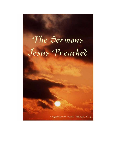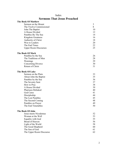| эсі підпу і пас осяця і і саспса |    |
|----------------------------------|----|
| <b>The Book Of Matthew</b>       |    |
| Sermon on the Mount              | 3  |
| The Twelve Commissioned          | 8  |
| John The Baptist                 | 10 |
| A House Divided                  | 12 |
| Parables By The Sea              | 14 |
| Kingdom Greatness                | 16 |
| Authority of Christ              | 18 |
| Woe to Leaders                   | 20 |
| The End Times                    | 22 |
| <b>Upper Room Discourses</b>     | 25 |
| <b>The Book Of Mark</b>          |    |
| Parables by the Sea              | 26 |
| The Traditions of Men            | 28 |
| Warnings                         | 29 |
| Concerning Divorce               | 30 |
| Return of Christ                 | 31 |
| <b>The Book Of Luke</b>          |    |
| Sermon on the Plain              | 33 |
| About John the Baptist           | 35 |
| Parables by the Sea              | 36 |
| The Seventy Sent                 | 37 |
| How to Pray                      | 38 |
| A House Divided                  | 39 |
| Pharisees Rebuked                | 40 |
| God Cares                        | 41 |
| Discipleship                     | 44 |
| The Lost Parables                | 45 |
| The Second Coming                | 48 |
| Parables on Prayer               | 49 |
| The End Timetables               | 50 |
| <b>The Book Of John</b>          |    |
| Jesus meets Nicodemus            | 52 |
| Woman at the Well                | 53 |
| <b>Equality with God</b>         | 55 |
| <b>Bread of Heaven</b>           | 56 |
| Light of the World               | 58 |
| The Good Shepherd                | 60 |
| The Son of God                   | 61 |
| The Upper Room Discourse         | 62 |
|                                  |    |

# Index Sermons That Jesus Preached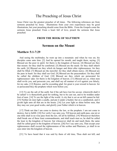# The Preaching of Jesus Christ

Jesus Christ was the greatest preacher of all times. The following references are from sermons preached by Jesus. Illustrations from your own experiences may be good illustrations, but your preaching should come from the Bible. From the Gospels come the sermons Jesus preached. From a heart full of love, preach the sermons that Jesus preached.

#### FROM THE BOOK OF MATTHEW

### Sermon on the Mount

#### Matthew 5:1-7:29

 And seeing the multitudes, he went up into a mountain: and when he was set, his disciples came unto him: [2] And he opened his mouth, and taught them, saying, [3] Blessed are the poor in spirit: for theirs is the kingdom of heaven. [4] Blessed are they that mourn: for they shall be comforted. [5] Blessed are the meek: for they shall inherit the earth. [6] Blessed are they which do hunger and thirst after righteousness: for they shall be filled. [7] Blessed are the merciful: for they shall obtain mercy. [8] Blessed are the pure in heart: for they shall see God. [9] Blessed are the peacemakers: for they shall be called the children of God. [10] Blessed are they which are persecuted for righteousness' sake: for theirs is the kingdom of heaven. [11] Blessed are ye, when men shall revile you, and persecute you, and shall say all manner of evil against you falsely, for my sake. [12] Rejoice, and be exceeding glad: for great is your reward in heaven: for so persecuted they the prophets which were before you.

 [13] Ye are the salt of the earth: but if the salt have lost his savour, wherewith shall it be salted? it is thenceforth good for nothing, but to be cast out, and to be trodden under foot of men. [14] Ye are the light of the world. A city that is set on an hill cannot be hid. [15] Neither do men light a candle, and put it under a bushel, but on a candlestick; and it giveth light unto all that are in the house. [16] Let your light so shine before men, that they may see your good works, and glorify your Father which is in heaven.

 [17] Think not that I am come to destroy the law, or the prophets: I am not come to destroy, but to fulfill. [18] For verily I say unto you, Till heaven and earth pass, one jot or one tittle shall in no wise pass from the law, till all be fulfilled. [19] Whosoever therefore shall break one of these least commandments, and shall teach men so, he shall be called the least in the kingdom of heaven: but whosoever shall do and teach them, the same shall be called great in the kingdom of heaven. [20] For I say unto you, That except your righteousness shall exceed the righteousness of the scribes and Pharisees, ye shall in no case enter into the kingdom of heaven.

[21] Ye have heard that it was said by them of old time, Thou shalt not kill; and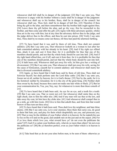whosoever shall kill shall be in danger of the judgment: [22] But I say unto you, That whosoever is angry with his brother without a cause shall be in danger of the judgment: and whosoever shall say to his brother, Raca, shall be in danger of the council: but whosoever shall say, Thou fool, shall be in danger of hell fire. [23] Therefore if thou bring thy gift to the altar, and there rememberest that thy brother hath ought against thee; [24] Leave there thy gift before the altar, and go thy way; first be reconciled to thy brother, and then come and offer thy gift. [25] Agree with thine adversary quickly, whiles thou art in the way with him; lest at any time the adversary deliver thee to the judge, and the judge deliver thee to the officer, and thou be cast into prison. [26] Verily I say unto thee, Thou shalt by no means come out thence, till thou hast paid the uttermost farthing.

[27] Ye have heard that it was said by them of old time, Thou shalt not commit adultery: [28] But I say unto you, That whosoever looketh on a woman to lust after her hath committed adultery with her already in his heart. [29] And if thy right eye offend thee, pluck it out, and cast it from thee: for it is profitable for thee that one of thy members should perish, and not that thy whole body should be cast into hell. [30] And if thy right hand offend thee, cut if off, and cast it from thee: for it is profitable for thee that one of thy members should perish, and not that thy whole body should be cast into hell. [31] It hath been said, Whosoever shall put away his wife, let him give her a writing of divorcement: [32] But I say unto you, That whosoever shall put away his wife, saving for the cause of fornication, causeth her to commit adultery: and whosoever shall marry her that is divorced committeth adultery.

[33] Again, ye have heard that it hath been said by them of old time, Thou shalt not forswear thyself, but shalt perform unto the Lord thine oaths: [34] But I say unto you, Swear not at all; neither by heaven; for it is God's throne: [35] Nor by the earth; for it is his footstool: neither by Jerusalem; for it is the city of the great King. [36] Neither shalt thou swear by thy head, because thou canst not make one hair white or black. [37] But let your communication be, Yea, yea; Nay, nay: for whatsoever is more than these cometh of evil.

[38] Ye have heard that it hath been said. An eye for an eye, and a tooth for a tooth: [39] But I say unto you, That ye resist not evil: but whosoever shall smite thee on thy right cheek, turn to him the other also. [40] And if any man will sue thee at the law, and take away thy coat, let him have thy cloke also. [41] And whosoever shall compel thee to go a mile, go with him twain. [42] Give to him that asketh thee, and from him that would borrow of thee turn not thou away.

 [43] Ye have heard that it hath been said, Thou shalt love thy neighbour, and hate thine enemy. [44] But I say unto you, Love your enemies, bless them that curse you, do good to them that hate you, and pray for them which despitefully use you, and persecute you; [45] That ye may be the children of your Father which is in heaven: for he maketh his sun to rise on the evil and on the good, and sendeth rain on the just and on the unjust. [46] For if ye love them which love you, what reward have ye? do not even the publicans the same? [47] And if ye salute your brethren only, what do ye more than others? do not even the publicans so? [48] Be ye therefore perfect, even as your Father which is in heaven is perfect.

[6:1] Take heed that ye do not your alms before men, to be seen of them: otherwise ye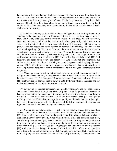have no reward of your Father which is in heaven. [2] Therefore when thou doest thine alms, do not sound a trumpet before thee, as the hypocrites do in the synagogues and in the streets, that they may have glory of men. Verily I say unto you, They have their reward. [3] But when thou doest alms, let not thy left hand know what thy right hand doeth: [4] That thine alms may be in secret: and thy Father which seeth in secret himself shall reward thee openly.

 [5] And when thou prayest, thou shalt not be as the hypocrites are: for they love to pray standing in the synagogues and in the corners of the streets, that they may be seen of men. Verily I say unto you, They have their reward. [6] But thou, when thou prayest, enter into thy closet, and when thou hast shut thy door, pray to thy Father which is in secret; and thy Father which seeth in secret shall reward thee openly. [7] But when ye pray, use not vain repetitions, as the heathen do: for they think that they shall be heard for their much speaking. [8] Be not ye therefore like unto them: for your Father knoweth what things ye have need of, before ye ask him. [9] After this manner therefore pray ye: Our Father which art in heaven, Hallowed be thy name. [10] Thy kingdom come. Thy will be done in earth, as it is in heaven. [11] Give us this day our daily bread. [12] And forgive us our debts, as we forgive our debtors. [13] And lead us not into temptation, but deliver us from evil: For thine is the kingdom, and the power, and the glory, for ever. Amen. [14] For if ye forgive men their trespasses, your heavenly Father will also forgive you: [15] But if ye forgive not men their trespasses, neither will your Father forgive your trespasses.

 [16] Moreover when ye fast, be not, as the hypocrites, of a sad countenance: for they disfigure their faces, that they may appear unto men to fast. Verily I say unto you, They have their reward. [17] But thou, when thou fastest, anoint thine head, and wash thy face; [18] That thou appear not unto men to fast, but unto thy Father which is in secret: and thy Father, which seeth in secret, shall reward thee openly.

 [19] Lay not up for yourselves treasures upon earth, where moth and rust doth corrupt, and where thieves break through and steal: [20] But lay up for yourselves treasures in heaven, where neither moth nor rust doth corrupt, and where thieves do not break through nor steal: [21] For where your treasure is, there will your heart be also. [22] The light of the body is the eye: if therefore thine eye be single, thy whole body shall be full of light. [23] But if thine eye be evil, thy whole body shall be full of darkness. If therefore the light that is in thee be darkness, how great is that darkness!

[24] No man can serve two masters: for either he will hate the one, and love the other; or else he will hold to the one, and despise the other. Ye cannot serve God and mammon. [25] Therefore I say unto you, Take no thought for your life, what ye shall eat, or what ye shall drink; nor yet for your body, what ye shall put on. Is not the life more than meat, and the body than raiment? [26] Behold the fowls of the air: for they sow not, neither do they reap, nor gather into barns; yet your heavenly Father feedeth them. Are ye not much better than they? [27] Which of you by taking thought can add one cubit unto his stature? [28] And why take ye thought for raiment? Consider the lilies of the field, how they grow; they toil not, neither do they spin: [29] And yet I say unto you, That even Solomon in all his glory was not arrayed like one of these. [30] Wherefore, if God so clothe the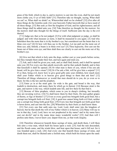grass of the field, which to day is, and to morrow is cast into the oven, shall he not much more clothe you, O ye of little faith? [31] Therefore take no thought, saying, What shall we eat? or, What shall we drink? or, Wherewithal shall we be clothed? [32] (For after all these things do the Gentiles seek:) for your heavenly Father knoweth that ye have need of all these things. [33] But seek ye first the kingdom of God, and his righteousness; and all these things shall be added unto you. [34] Take therefore no thought for the morrow: for the morrow shall take thought for the things of itself. Sufficient unto the day is the evil thereof.

 [7:1] Judge not, that ye be not judged. [2] For with what judgment ye judge, ye shall be judged: and with what measure ye mete, it shall be measured to you again. [3] And why beholdest thou the mote that is in thy brother's eye, but considerest not the beam that is in thine own eye? [4] Or how wilt thou say to thy brother, Let me pull out the mote out of thine eye; and, behold, a beam is in thine own eye? [5] Thou hypocrite, first cast out the beam out of thine own eye; and then shalt thou see clearly to cast out the mote out of thy brother's eye.

 [6] Give not that which is holy unto the dogs, neither cast ye your pearls before swine, lest they trample them under their feet, and turn again and rend you.

 [7] Ask, and it shall be given you; seek, and ye shall find; knock, and it shall be opened unto you: [8] For every one that asketh receiveth; and he that seeketh findeth; and to him that knocketh it shall be opened. [9] Or what man is there of you, whom if his son ask bread, will he give him a stone? [10] Or if he ask a fish, will he give him a serpent? [11] If ye then, being evil, know how to give good gifts unto your children, how much more shall your Father which is in heaven give good things to them that ask him? [12] Therefore all things whatsoever ye would that men should do to you, do ye even so to them: for this is the law and the prophets.

[13] Enter ye in at the strait gate: for wide is the gate, and broad is the way, that leadeth to destruction, and many there be which go in thereat: [14] Because strait is the gate, and narrow is the way, which leadeth unto life, and few there be that find it.

[15] Beware of false prophets, which come to you in sheep's clothing, but inwardly they are ravening wolves. [16] Ye shall know them by their fruits. Do men gather grapes of thorns, or figs of thistles? [17] Even so every good tree bringeth forth good fruit; but a corrupt tree bringeth forth evil fruit. [18] A good tree cannot bring forth evil fruit, neither can a corrupt tree bring forth good fruit. [19] Every tree that bringeth not forth good fruit is hewn down, and cast into the fire. [20] Wherefore by their fruits ye shall know them.

[21] Not every one that saith unto me, Lord, Lord, shall enter into the kingdom of heaven; but he that doeth the will of my Father which is in heaven. [22] Many will say to me in that day, Lord, Lord, have we not prophesied in thy name? and in thy name have cast out devils? and in thy name done many wonderful works? [23] And then will I profess unto them, I never knew you: depart from me, ye that work iniquity.

 [24] Therefore whosoever heareth these sayings of mine, and doeth them, I will liken him unto a wise man, which built his house upon a rock: [25] And the rain descended, and the floods came, and the winds blew, and beat upon that house; and it fell not: for it was founded upon a rock. [26] And every one that heareth these sayings of mine, and doeth them not, shall be likened unto a foolish man, which built his house upon the sand: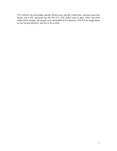[27] And the rain descended, and the floods came, and the winds blew, and beat upon that house; and it fell: and great was the fall of it. [28] And it came to pass, when Jesus had ended these sayings, the people were astonished at his doctrine: [29] For he taught them as one having authority, and not as the scribes.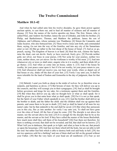# The Twelve Commissioned

### Matthew 10:1-42

 And when he had called unto him his twelve disciples, he gave them power against unclean spirits, to cast them out, and to heal all manner of sickness and all manner of disease. [2] Now the names of the twelve apostles are these; The first, Simon, who is called Peter, and Andrew his brother; James the son of Zebedee, and John his brother; [3] Philip, and Bartholomew; Thomas, and Matthew the publican; James the son of Alphaeus, and Lebbaeus, whose surname was Thaddaeus; [4] Simon the Canaanite, and Judas Iscariot, who also betrayed him. [5] These twelve Jesus sent forth, and commanded them, saying, Go not into the way of the Gentiles, and into any city of the Samaritans enter ye not: [6] But go rather to the lost sheep of the house of Israel. [7] And as ye go, preach, saying, The kingdom of heaven is at hand. [8] Heal the sick, cleanse the lepers, raise the dead, cast out devils: freely ye have received, freely give. [9] Provide neither gold, nor silver, nor brass in your purses, [10] Nor scrip for your journey, neither two coats, neither shoes, nor yet staves: for the workman is worthy of his meat. [11] And into whatsoever city or town ye shall enter, enquire who in it is worthy; and there abide till ye go thence. [12] And when ye come into an house, salute it. [13] And if the house be worthy, let your peace come upon it: but if it be not worthy, let your peace return to you. [14] And whosoever shall not receive you, nor hear your words, when ye depart out of that house or city, shake off the dust of your feet. [15] Verily I say unto you, It shall be more tolerable for the land of Sodom and Gomorrha in the day of judgment, than for that city.

 [16] Behold, I send you forth as sheep in the midst of wolves: be ye therefore wise as serpents, and harmless as doves. [17] But beware of men: for they will deliver you up to the councils, and they will scourge you in their synagogues; [18] And ye shall be brought before governors and kings for my sake, for a testimony against them and the Gentiles. [19] But when they deliver you up, take no thought how or what ye shall speak: for it shall be given you in that same hour what ye shall speak. [20] For it is not ye that speak, but the Spirit of your Father which speaketh in you. [21] And the brother shall deliver up the brother to death, and the father the child: and the children shall rise up against their parents, and cause them to be put to death. [22] And ye shall be hated of all men for my name's sake: but he that endureth to the end shall be saved. [23] But when they persecute you in this city, flee ye into another: for verily I say unto you, Ye shall not have gone over the cities of Israel, till the Son of man be come. [24] The disciple is not above his master, nor the servant above his lord. [25] It is enough for the disciple that he be as his master, and the servant as his lord. If they have called the master of the house Beelzebub, how much more shall they call them of his household? [26] Fear them not therefore: for there is nothing covered, that shall not be revealed; and hid, that shall not be known. [27] What I tell you in darkness, that speak ye in light: and what ye hear in the ear, that preach ye upon the housetops. [28] And fear not them which kill the body, but are not able to kill the soul: but rather fear him which is able to destroy both soul and body in hell. [29] Are not two sparrows sold for a farthing? and one of them shall not fall on the ground without your Father. [30] But the very hairs of your head are all numbered. [31] Fear ye not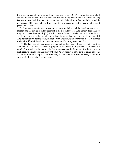therefore, ye are of more value than many sparrows. [32] Whosoever therefore shall confess me before men, him will I confess also before my Father which is in heaven. [33] But whosoever shall deny me before men, him will I also deny before my Father which is in heaven. [34] Think not that I am come to send peace on earth: I came not to send peace, but a sword.

 For I am come to set a man at variance against his father, and the daughter against her mother, and the daughter in law against her mother in law. [36] And a man's foes shall be they of his own household. [37] He that loveth father or mother more than me is not worthy of me: and he that loveth son or daughter more than me is not worthy of me. [38] And he that taketh not his cross, and followeth after me, is not worthy of me. [39] He that findeth his life shall lose it: and he that loseth his life for my sake shall find it.

 [40] He that receiveth you receiveth me, and he that receiveth me receiveth him that sent me. [41] He that receiveth a prophet in the name of a prophet shall receive a prophet's reward; and he that receiveth a righteous man in the name of a righteous man shall receive a righteous man's reward. [42] And whosoever shall give to drink unto one of these little ones a cup of cold water only in the name of a disciple, verily I say unto you, he shall in no wise lose his reward.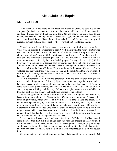### About John the Baptist

### Matthew11:2-30

 Now when John had heard in the prison the works of Christ, he sent two of his disciples, [3] And said unto him, Art thou he that should come, or do we look for another? [4] Jesus answered and said unto them, Go and shew John again those things which ye do hear and see: [5] The blind receive their sight, and the lame walk, the lepers are cleansed, and the deaf hear, the dead are raised up, and the poor have the gospel preached to them. [6] And blessed is he, whosoever shall not be offended in me.

 [7] And as they departed, Jesus began to say unto the multitudes concerning John, What went ye out into the wilderness to see? A reed shaken with the wind? [8] But what went ye out for to see? A man clothed in soft raiment? behold, they that wear soft clothing are in kings' houses. [9] But what went ye out for to see? A prophet? yea, I say unto you, and more than a prophet. [10] For this is he, of whom it is written, Behold, I send my messenger before thy face, which shall prepare thy way before thee. [11] Verily I say unto you, Among them that are born of women there hath not risen a greater than John the Baptist: notwithstanding he that is least in the kingdom of heaven is greater than he. [12] And from the days of John the Baptist until now the kingdom of heaven suffereth violence, and the violent take it by force. [13] For all the prophets and the law prophesied until John. [14] And if ye will receive it, this is Elias, which was for to come. [15] He that hath ears to hear, let him hear.

[16] But whereunto shall I liken this generation? It is like unto children sitting in the markets, and calling unto their fellows, [17] And saying, We have piped unto you, and ye have not danced; we have mourned unto you, and ye have not lamented. [18] For John came neither eating nor drinking, and they say, He hath a devil. [19] The Son of man came eating and drinking, and they say, Behold a man gluttonous, and a winebibber, a friend of publicans and sinners. But wisdom is justified of her children.

[20] Then began he to upbraid the cities wherein most of his mighty works were done, because they repented not: [21] Woe unto thee, Chorazin! woe unto thee, Bethsaida! for if the mighty works, which were done in you, had been done in Tyre and Sidon, they would have repented long ago in sackcloth and ashes. [22] But I say unto you, It shall be more tolerable for Tyre and Sidon at the day of judgment, than for you. [23] And thou, Capernaum, which art exalted unto heaven, shalt be brought down to hell: for if the mighty works, which have been done in thee, had been done in Sodom, it would have remained until this day. [24] But I say unto you, That it shall be more tolerable for the land of Sodom in the day of judgment, than for thee.

 [25] At that time Jesus answered and said, I thank thee, O Father, Lord of heaven and earth, because thou hast hid these things from the wise and prudent, and hast revealed them unto babes. [26] Even so, Father: for so it seemed good in thy sight. [27] All things are delivered unto me of my Father: and no man knoweth the Son, but the Father; neither knoweth any man the Father, save the Son, and he to whomsoever the Son will reveal him.

[28] Come unto me, all ye that labor and are heavy laden, and I will give you rest. [29]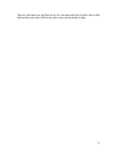Take my yoke upon you, and learn of me; for I am meek and lowly in heart: and ye shall find rest unto your souls. [30] For my yoke is easy, and my burden is light.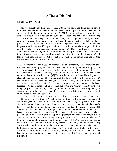# A House Divided

### Matthew 12:22-50

 Then was brought unto him one possessed with a devil, blind, and dumb: and he healed him, insomuch that the blind and dumb both spake and saw. [23] And all the people were amazed, and said, Is not this the son of David? [24] But when the Pharisees heard it, they said, This fellow doth not cast out devils, but by Beelzebub the prince of the devils. [25] And Jesus knew their thoughts, and said unto them, Every kingdom divided against itself is brought to desolation; and every city or house divided against itself shall not stand: [26] And if Satan cast out Satan, he is divided against himself; how shall then his kingdom stand? [27] And if I by Beelzebub cast out devils, by whom do your children cast them out? therefore they shall be your judges. [28] But if I cast out devils by the Spirit of God, then the kingdom of God is come unto you. [29] Or else how can one enter into a strong man's house, and spoil his goods, except he first bind the strong man? and then he will spoil his house. [30] He that is not with me is against me; and he that gathereth not with me scattereth abroad.

[31] Wherefore I say unto you, All manner of sin and blasphemy shall be forgiven unto men: but the blasphemy against the Holy Ghost shall not be forgiven unto men. [32] And whosoever speaketh a word against the Son of man, it shall be forgiven him: but whosoever speaketh against the Holy Ghost, it shall not be forgiven him, neither in this world, neither in the world to come. [33] Either make the tree good, and his fruit good; or else make the tree corrupt, and his fruit corrupt: for the tree is known by his fruit. [34] O generation of vipers, how can ye, being evil, speak good things? for out of the abundance of the heart the mouth speaketh. [35] A good man out of the good treasure of the heart bringeth forth good things: and an evil man out of the evil treasure bringeth forth evil things. [36] But I say unto you, That every idle word that men shall speak, they shall give account thereof in the day of judgment. [37] For by thy words thou shalt be justified, and by thy words thou shalt be condemned.

 [38] Then certain of the scribes and of the Pharisees answered, saying, Master, we would see a sign from thee. [39] But he answered and said unto them, An evil and adulterous generation seeketh after a sign; and there shall no sign be given to it, but the sign of the prophet Jonas: [40] For as Jonas was three days and three nights in the whale's belly; so shall the Son of man be three days and three nights in the heart of the earth. [41] The men of Nineveh shall rise in judgment with this generation, and shall condemn it: because they repented at the preaching of Jonas; and, behold, a greater than Jonas is here. [42] The queen of the south shall rise up in the judgment with this generation, and shall condemn it: for she came from the uttermost parts of the earth to hear the wisdom of Solomon; and, behold, a greater than Solomon is here. [43] When the unclean spirit is gone out of a man, he walketh through dry places, seeking rest, and findeth none. [44] Then he saith, I will return into my house from whence I came out; and when he is come, he findeth it empty, swept, and garnished. [45] Then goeth he, and taketh with himself seven other spirits more wicked than himself, and they enter in and dwell there: and the last state of that man is worse than the first. Even so shall it be also unto this wicked generation.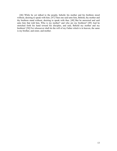[46] While he yet talked to the people, behold, his mother and his brethren stood without, desiring to speak with him. [47] Then one said unto him, Behold, thy mother and thy brethren stand without, desiring to speak with thee. [48] But he answered and said unto him that told him, Who is my mother? and who are my brethren? [49] And he stretched forth his hand toward his disciples, and said, Behold my mother and my brethren! [50] For whosoever shall do the will of my Father which is in heaven, the same is my brother, and sister, and mother.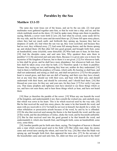## Parables by the Sea

### Matthew 13:1-53

 The same day went Jesus out of the house, and sat by the sea side. [2] And great multitudes were gathered together unto him, so that he went into a ship, and sat; and the whole multitude stood on the shore. [3] And he spake many things unto them in parables, saying, Behold, a sower went forth to sow; [4] And when he sowed, some seeds fell by the way side, and the fowls came and devoured them up: [5] Some fell upon stony places, where they had not much earth: and forthwith they sprung up, because they had no deepness of earth: [6] And when the sun was up, they were scorched; and because they had no root, they withered away. [7] And some fell among thorns; and the thorns sprung up, and choked them: [8] But other fell into good ground, and brought forth fruit, some an hundredfold, some sixtyfold, some thirtyfold. [9] Who hath ears to hear, let him hear. [10] And the disciples came, and said unto him, Why speakest thou unto them in parables? [11] He answered and said unto them, Because it is given unto you to know the mysteries of the kingdom of heaven, but to them it is not given. [12] For whosoever hath, to him shall be given, and he shall have more abundance: but whosoever hath not, from him shall be taken away even that he hath. [13] Therefore speak I to them in parables: because they seeing see not; and hearing they hear not, neither do they understand. [14] And in them is fulfilled the prophecy of Esaias, which saith, By hearing ye shall hear, and shall not understand; and seeing ye shall see, and shall not perceive: [15] For this people's heart is waxed gross, and their ears are dull of hearing, and their eyes they have closed; lest at any time they should see with their eyes, and hear with their ears, and should understand with their heart, and should be converted, and I should heal them. [16] But blessed are your eyes, for they see: and your ears, for they hear. [17] For verily I say unto you, That many prophets and righteous men have desired to see those things which ye see, and have not seen them; and to hear those things which ye hear, and have not heard them.

 [18] Hear ye therefore the parable of the sower. [19] When any one heareth the word of the kingdom, and understandeth it not, then cometh the wicked one, and catcheth away that which was sown in his heart. This is he which received seed by the way side. [20] But he that received the seed into stony places, the same is he that heareth the word, and anon with joy receiveth it; [21] Yet hath he not root in himself, but dureth for a while: for when tribulation or persecution ariseth because of the word, by and by he is offended. [22] He also that received seed among the thorns is he that heareth the word; and the care of this world, and the deceitfulness of riches, choke the word, and he becometh unfruitful. [23] But he that received seed into the good ground is he that heareth the word, and understandeth it; which also beareth fruit, and bringeth forth, some an hundredfold, some sixty, some thirty.

 [24] Another parable put he forth unto them, saying, The kingdom of heaven is likened unto a man which sowed good seed in his field: [25] But while men slept, his enemy came and sowed tares among the wheat, and went his way. [26] But when the blade was sprung up, and brought forth fruit, then appeared the tares also. [27] So the servants of the householder came and said unto him, Sir, didst not thou sow good seed in thy field?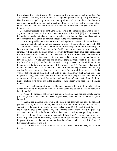from whence then hath it tares? [28] He said unto them, An enemy hath done this. The servants said unto him, Wilt thou then that we go and gather them up? [29] But he said, Nay; lest while ye gather up the tares, ye root up also the wheat with them. [30] Let both grow together until the harvest: and in the time of harvest I will say to the reapers, Gather ye together first the tares, and bind them in bundles to burn them: but gather the wheat into my barn.

 [31] Another parable put he forth unto them, saying, The kingdom of heaven is like to a grain of mustard seed, which a man took, and sowed in his field: [32] Which indeed is the least of all seeds: but when it is grown, it is the greatest among herbs, and becometh a tree, so that the birds of the air come and lodge in the branches thereof.

[33] Another parable spake he unto them; The kingdom of heaven is like unto leaven, which a woman took, and hid in three measures of meal, till the whole was leavened. [34] All these things spake Jesus unto the multitude in parables; and without a parable spake he not unto them: [35] That it might be fulfilled which was spoken by the prophet, saying, I will open my mouth in parables; I will utter things which have been kept secret from the foundation of the world. [36] Then Jesus sent the multitude away, and went into the house: and his disciples came unto him, saying, Declare unto us the parable of the tares of the field. [37] He answered and said unto them, He that soweth the good seed is the Son of man; [38] The field is the world; the good seed are the children of the kingdom; but the tares are the children of the wicked one; [39] The enemy that sowed them is the devil; the harvest is the end of the world; and the reapers are the angels. [40] As therefore the tares are gathered and burned in the fire; so shall it be in the end of this world. [41] The Son of man shall send forth his angels, and they shall gather out of his kingdom all things that offend, and them which do iniquity; [42] And shall cast them into a furnace of fire: there shall be wailing and gnashing of teeth. [43] Then shall the righteous shine forth as the sun in the kingdom of their Father. Who hath ears to hear, let him hear.

 [44] Again, the kingdom of heaven is like unto treasure hid in a field; the which when a man hath found, he hideth, and for joy thereof goeth and selleth all that he hath, and buyeth that field.

 [45] Again, the kingdom of heaven is like unto a merchant man, seeking goodly pearls: [46] Who, when he had found one pearl of great price, went and sold all that he had, and bought it.

 [47] Again, the kingdom of heaven is like unto a net, that was cast into the sea, and gathered of every kind: [48] Which, when it was full, they drew to shore, and sat down, and gathered the good into vessels, but cast the bad away. [49] So shall it be at the end of the world: the angels shall come forth, and sever the wicked from among the just, [50] And shall cast them into the furnace of fire: there shall be wailing and gnashing of teeth. [51] Jesus saith unto them, Have ye understood all these things? They say unto him, Yea, Lord. [52] Then said he unto them, Therefore every scribe which is instructed unto the kingdom of heaven is like unto a man that is an householder, which bringeth forth out of his treasure things new and old.

 [53] And it came to pass, that when Jesus had finished these parables, he departed thence.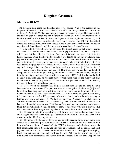## Kingdom Greatness

### Matthew 18:1-25

 At the same time came the disciples unto Jesus, saying, Who is the greatest in the kingdom of heaven? [2] And Jesus called a little child unto him, and set him in the midst of them, [3] And said, Verily I say unto you, Except ye be converted, and become as little children, ye shall not enter into the kingdom of heaven. [4] Whosoever therefore shall humble himself as this little child, the same is greatest in the kingdom of heaven. [5] And whoso shall receive one such little child in my name receiveth me. [6] But whoso shall offend one of these little ones which believe in me, it were better for him that a millstone were hanged about his neck, and that he were drowned in the depth of the sea.

 [7] Woe unto the world because of offences! for it must needs be that offences come; but woe to that man by whom the offence cometh! [8] Wherefore if thy hand or thy foot offend thee, cut them off, and cast them from thee: it is better for thee to enter into life halt or maimed, rather than having two hands or two feet to be cast into everlasting fire. [9] And if thine eye offend thee, pluck it out, and cast it from thee: it is better for thee to enter into life with one eye, rather than having two eyes to be cast into hell fire. [10] Take heed that ye despise not one of these little ones; for I say unto you, That in heaven their angels do always behold the face of my Father which is in heaven. [11] For the Son of man is come to save that which was lost. [12] How think ye? if a man have an hundred sheep, and one of them be gone astray, doth he not leave the ninety and nine, and goeth into the mountains, and seeketh that which is gone astray? [13] And if so be that he find it, verily I say unto you, he rejoiceth more of that sheep, than of the ninety and nine which went not astray. [14] Even so it is not the will of your Father which is in heaven, that one of these little ones should perish.

 [15] Moreover if thy brother shall trespass against thee, go and tell him his fault between thee and him alone: if he shall hear thee, thou hast gained thy brother. [16] But if he will not hear thee, then take with thee one or two more, that in the mouth of two or three witnesses every word may be established. [17] And if he shall neglect to hear them, tell it unto the church: but if he neglect to hear the church, let him be unto thee as an heathen man and a publican. [18] Verily I say unto you, Whatsoever ye shall bind on earth shall be bound in heaven: and whatsoever ye shall loose on earth shall be loosed in heaven. [19] Again I say unto you, That if two of you shall agree on earth as touching any thing that they shall ask, it shall be done for them of my Father which is in heaven. [20] For where two or three are gathered together in my name, there am I in the midst of them.

 [21] Then came Peter to him, and said, Lord, how oft shall my brother sin against me, and I forgive him? till seven times? [22] Jesus saith unto him, I say not unto thee, Until seven times: but, Until seventy times seven.

 [23] Therefore is the kingdom of heaven likened unto a certain king, which would take account of his servants. [24] And when he had begun to reckon, one was brought unto him, which owed him ten thousand talents. [25] But forasmuch as he had not to pay, his lord commanded him to be sold, and his wife, and children, and all that he had, and payment to be made. [26] The servant therefore fell down, and worshipped him, saying, Lord, have patience with me, and I will pay thee all. [27] Then the lord of that servant was moved with compassion, and loosed him, and forgave him the debt. [28] But the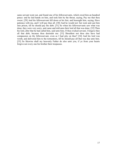same servant went out, and found one of his fellowservants, which owed him an hundred pence: and he laid hands on him, and took him by the throat, saying, Pay me that thou owest. [29] And his fellowservant fell down at his feet, and besought him, saying, Have patience with me, and I will pay thee all. [30] And he would not: but went and cast him into prison, till he should pay the debt. [31] So when his fellowservants saw what was done, they were very sorry, and came and told unto their lord all that was done. [32] Then his lord, after that he had called him, said unto him, O thou wicked servant, I forgave thee all that debt, because thou desiredst me: [33] Shouldest not thou also have had compassion on thy fellowservant, even as I had pity on thee? [34] And his lord was wroth, and delivered him to the tormentors, till he should pay all that was due unto him. [35] So likewise shall my heavenly Father do also unto you, if ye from your hearts forgive not every one his brother their trespasses.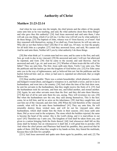# Authority of Christ

# Matthew 21:23-22:14

 And when he was come into the temple, the chief priests and the elders of the people came unto him as he was teaching, and said, By what authority doest thou these things? and who gave thee this authority? [24] And Jesus answered and said unto them, I also will ask you one thing, which if ye tell me, I in like wise will tell you by what authority I do these things. [25] The baptism of John, whence was it? from heaven, or of men? And they reasoned with themselves, saying, If we shall say, From heaven; he will say unto us, Why did ye not then believe him? [26] But if we shall say, Of men; we fear the people; for all hold John as a prophet. [27] And they answered Jesus, and said, We cannot tell. And he said unto them, Neither tell I you by what authority I do these things.

 [28] But what think ye? A certain man had two sons; and he came to the first, and said, Son, go work to day in my vineyard. [29] He answered and said, I will not: but afterward he repented, and went. [30] And he came to the second, and said likewise. And he answered and said, I go, sir: and went not. [31] Whether of them twain did the will of his father? They say unto him, The first. Jesus saith unto them, Verily I say unto you, That the publicans and the harlots go into the kingdom of God before you. [32] For John came unto you in the way of righteousness, and ye believed him not: but the publicans and the harlots believed him: and ye, when ye had seen it, repented not afterward, that ye might believe him.

 [33] Hear another parable: There was a certain householder, which planted a vineyard, and hedged it round about, and digged a winepress in it, and built a tower, and let it out to husbandmen, and went into a far country: [34] And when the time of the fruit drew near, he sent his servants to the husbandmen, that they might receive the fruits of it. [35] And the husbandmen took his servants, and beat one, and killed another, and stoned another. [36] Again, he sent other servants more than the first: and they did unto them likewise. [37] But last of all he sent unto them his son, saying, They will reverence my son. [38] But when the husbandmen saw the son, they said among themselves, This is the heir; come, let us kill him, and let us seize on his inheritance. [39] And they caught him, and cast him out of the vineyard, and slew him. [40] When the lord therefore of the vineyard cometh, what will he do unto those husbandmen? [41] They say unto him, He will miserably destroy those wicked men, and will let out his vineyard unto other husbandmen, which shall render him the fruits in their seasons. [42] Jesus saith unto them, Did ye never read in the scriptures, The stone which the builders rejected, the same is become the head of the corner: this is the Lord's doing, and it is marvellous in our eyes? [43] Therefore say I unto you, The kingdom of God shall be taken from you, and given to a nation bringing forth the fruits thereof. [44] And whosoever shall fall on this stone shall be broken: but on whomsoever it shall fall, it will grind him to powder. [45] And when the chief priests and Pharisees had heard his parables, they perceived that he spake of them. [46] But when they sought to lay hands on him, they feared the multitude, because they took him for a prophet.

[22:1] And Jesus answered and spake unto them again by parables, and said, [2] The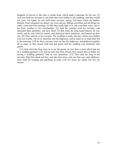kingdom of heaven is like unto a certain king, which made a marriage for his son, [3] And sent forth his servants to call them that were bidden to the wedding: and they would not come. [4] Again, he sent forth other servants, saying, Tell them which are bidden, Behold, I have prepared my dinner: my oxen and my fatlings are killed, and all things are ready: come unto the marriage. [5] But they made light of it, and went their ways, one to his farm, another to his merchandise: [6] And the remnant took his servants, and entreated them spitefully, and slew them. [7] But when the king heard thereof, he was wroth: and he sent forth his armies, and destroyed those murderers, and burned up their city. [8] Then saith he to his servants, The wedding is ready, but they which were bidden were not worthy. [9] Go ye therefore into the highways, and as many as ye shall find, bid to the marriage. [10] So those servants went out into the highways, and gathered together all as many as they found, both bad and good: and the wedding was furnished with guests.

[11] And when the king came in to see the guests, he saw there a man which had not on a wedding garment: [12] And he saith unto him, Friend, how camest thou in hither not having a wedding garment? And he was speechless. [13] Then said the king to the servants, Bind him hand and foot, and take him away, and cast him into outer darkness; there shall be weeping and gnashing of teeth. [14] For many are called, but few are chosen.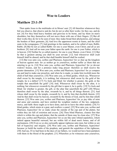### Woe to Leaders

# Matthew 23:1-39

 Then spake Jesus to the multitudes sit in Moses' seat: [3] All therefore whatsoever they bid you observe, that observe and do; but do not ye after their works: for they say, and do not. [4] For they bind heavy burdens and grievous to be borne, and lay them on men's shoulders; but they themselves will not move them with one of their fingers. [5] But all their works they do for to be seen of men: they make broad their phylacteries, and enlarge the borders of their garments, [6] And love the uppermost rooms at feasts, and the chief seats in the synagogues, [7] And greetings in the markets, and to be called of men, Rabbi, Rabbi. [8] But be not ye called Rabbi: for one is your Master, even Christ; and all ye are brethren. [9] And call no man your father upon the earth: for one is your Father, which is in heaven. [10] Neither be ye called masters: for one is your Master, even Christ. [11] But he that is greatest among you shall be your servant. [12] And whosoever shall exalt himself shall be abased; and he that shall humble himself shall be exalted.

[13] But woe unto you, scribes and Pharisees, hypocrites! for ye shut up the kingdom of heaven against men: for ye neither go in yourselves, neither suffer ye them that are entering to go in. [14] Woe unto you, scribes and Pharisees, hypocrites! for ye devour widows' houses, and for a pretence make long prayer: therefore ye shall receive the greater damnation. [15] Woe unto you, scribes and Pharisees, hypocrites! for ye compass sea and land to make one proselyte, and when he is made, ye make him twofold more the child of hell than yourselves. [16] Woe unto you, ye blind guides, which say, Whosoever shall swear by the temple, it is nothing; but whosoever shall swear by the gold of the temple, he is a debtor! [17] Ye fools and blind: for whether is greater, the gold, or the temple that sanctifieth the gold? [18] And, Whosoever shall swear by the altar, it is nothing; but whosoever sweareth by the gift that is upon it, he is guilty. [19] Ye fools and blind: for whether is greater, the gift, or the altar that sanctifieth the gift? [20] Whoso therefore shall swear by the altar, sweareth by it, and by all things thereon. [21] And whoso shall swear by the temple, sweareth by it, and by him that dwelleth therein. [22] And he that shall swear by heaven, sweareth by the throne of God, and by him that sitteth thereon. [23] Woe unto you, scribes and Pharisees, hypocrites! for ye pay tithe of mint and anise and cummin, and have omitted the weightier matters of the law, judgment, mercy, and faith: these ought ye to have done, and not to leave the other undone. [24] Ye blind guides, which strain at a gnat, and swallow a camel. [25] Woe unto you, scribes and Pharisees, hypocrites! for ye make clean the outside of the cup and of the platter, but within they are full of extortion and excess. [26] Thou blind Pharisee, cleanse first that which is within the cup and platter, that the outside of them may be clean also. [27] Woe unto you, scribes and Pharisees, hypocrites! for ye are like unto whited sepulchres, which indeed appear beautiful outward, but are within full of dead men's bones, and of all uncleanness. [28] Even so ye also outwardly appear righteous unto men, but within ye are full of hypocrisy and iniquity. [29] Woe unto you, scribes and Pharisees, hypocrites! because ye build the tombs of the prophets, and garnish the sepulchres of the righteous, [30] And say, If we had been in the days of our fathers, we would not have been partakers with them in the blood of the prophets. [31] Wherefore ye be witnesses unto yourselves,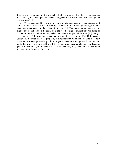that ye are the children of them which killed the prophets. [32] Fill ye up then the measure of your fathers. [33] Ye serpents, ye generation of vipers, how can ye escape the damnation of hell?

[34] Wherefore, behold, I send unto you prophets, and wise men, and scribes: and some of them ye shall kill and crucify; and some of them shall ye scourge in your synagogues, and persecute them from city to city: [35] That upon you may come all the righteous blood shed upon the earth, from the blood of righteous Abel unto the blood of Zacharias son of Barachias, whom ye slew between the temple and the altar. [36] Verily I say unto you, All these things shall come upon this generation. [37] O Jerusalem, Jerusalem, thou that killest the prophets, and stonest them which are sent unto thee, how often would I have gathered thy children together, even as a hen gathereth her chickens under her wings, and ye would not! [38] Behold, your house is left unto you desolate. [39] For I say unto you, Ye shall not see me henceforth, till ye shall say, Blessed is he that cometh in the name of the Lord.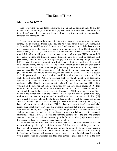## The End of Time

### Matthew 24:1-26:2

 And Jesus went out, and departed from the temple: and his disciples came to him for to shew him the buildings of the temple. [2] And Jesus said unto them, See ye not all these things? verily I say unto you, There shall not be left here one stone upon another, that shall not be thrown down.

 [3] And as he sat upon the mount of Olives, the disciples came unto him privately, saying, Tell us, when shall these things be? and what shall be the sign of thy coming, and of the end of the world? [4] And Jesus answered and said unto them, Take heed that no man deceive you. [5] For many shall come in my name, saying, I am Christ; and shall deceive many. [6] And ye shall hear of wars and rumours of wars: see that ye be not troubled: for all these things must come to pass, but the end is not yet. [7] For nation shall rise against nation, and kingdom against kingdom: and there shall be famines, and pestilences, and earthquakes, in divers places. [8] All these are the beginning of sorrows. [9] Then shall they deliver you up to be afflicted, and shall kill you: and ye shall be hated of all nations for my name's sake. [10] And then shall many be offended, and shall betray one another, and shall hate one another. [11] And many false prophets shall rise, and shall deceive many. [12] And because iniquity shall abound, the love of many shall wax cold. [13] But he that shall endure unto the end, the same shall be saved. [14] And this gospel of the kingdom shall be preached in all the world for a witness unto all nations; and then shall the end come. [15] When ye therefore shall see the abomination of desolation, spoken of by Daniel the prophet, stand in the holy place, (whoso readeth, let him understand:) [16] Then let them which be in Judaea flee into the mountains: [17] Let him which is on the housetop not come down to take any thing out of his house: [18] Neither let him which is in the field return back to take his clothes. [19] And woe unto them that are with child, and to them that give suck in those days! [20] But pray ye that your flight be not in the winter, neither on the sabbath day: [21] For then shall be great tribulation, such as was not since the beginning of the world to this time, no, nor ever shall be. [22] And except those days should be shortened, there should no flesh be saved: but for the elect's sake those days shall be shortened. [23] Then if any man shall say unto you, Lo, here is Christ, or there; believe it not. [24] For there shall arise false Christs, and false prophets, and shall shew great signs and wonders; insomuch that, if it were possible, they shall deceive the very elect. [25] Behold, I have told you before. [26] Wherefore if they shall say unto you, Behold, he is in the desert; go not forth: behold, he is in the secret chambers; believe it not. [27] For as the lightning cometh out of the east, and shineth even unto the west; so shall also the coming of the Son of man be. [28] For wheresoever the carcase is, there will the eagles be gathered together.

 [29] Immediately after the tribulation of those days shall the sun be darkened, and the moon shall not give her light, and the stars shall fall from heaven, and the powers of the heavens shall be shaken: [30] And then shall appear the sign of the Son of man in heaven: and then shall all the tribes of the earth mourn, and they shall see the Son of man coming in the clouds of heaven with power and great glory. [31] And he shall send his angels with a great sound of a trumpet, and they shall gather together his elect from the four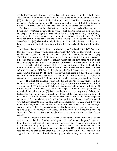winds, from one end of heaven to the other. [32] Now learn a parable of the fig tree; When his branch is yet tender, and putteth forth leaves, ye know that summer is nigh: [33] So likewise ye, when ye shall see all these things, know that it is near, even at the doors. [34] Verily I say unto you, This generation shall not pass, till all these things be fulfilled. [35] Heaven and earth shall pass away, but my words shall not pass away.

[36] But of that day and hour knoweth no man, no, not the angels of heaven, but my Father only. [37] But as the days of Noe were, so shall also the coming of the Son of man be. [38] For as in the days that were before the flood they were eating and drinking, marrying and giving in marriage, until the day that Noe entered into the ark, [39] And knew not until the flood came, and took them all away; so shall also the coming of the Son of man be. [40] Then shall two be in the field; the one shall be taken, and the other left. [41] Two women shall be grinding at the mill; the one shall be taken, and the other left.

[42] Watch therefore: for ye know not what hour your Lord doth come. [43] But know this, that if the goodman of the house had known in what watch the thief would come, he would have watched, and would not have suffered his house to be broken up. [44] Therefore be ye also ready: for in such an hour as ye think not the Son of man cometh. [45] Who then is a faithful and wise servant, whom his lord hath made ruler over his household, to give them meat in due season? [46] Blessed is that servant, whom his lord when he cometh shall find so doing. [47] Verily I say unto you, That he shall make him ruler over all his goods. [48] But and if that evil servant shall say in his heart, My lord delayeth his coming; [49] And shall begin to smite his fellowservants, and to eat and drink with the drunken; [50] The lord of that servant shall come in a day when he looketh not for him, and in an hour that he is not aware of, [51] And shall cut him asunder, and appoint him his portion with the hypocrites: there shall be weeping and gnashing of teeth.

[25:1] Then shall the kingdom of heaven be likened unto ten virgins, which took their lamps, and went forth to meet the bridegroom. [2] And five of them were wise, and five were foolish. [3] They that were foolish took their lamps, and took no oil with them: [4] But the wise took oil in their vessels with their lamps. [5] While the bridegroom tarried, they all slumbered and slept. [6] And at midnight there was a cry made, Behold, the bridegroom cometh; go ye out to meet him. [7] Then all those virgins arose, and trimmed their lamps. [8] And the foolish said unto the wise, Give us of your oil; for our lamps are gone out. [9] But the wise answered, saying, Not so; lest there be not enough for us and you: but go ye rather to them that sell, and buy for yourselves. [10] And while they went to buy, the bridegroom came; and they that were ready went in with him to the marriage: and the door was shut. [11] Afterward came also the other virgins, saying, Lord, Lord, open to us. [12] But he answered and said, Verily I say unto you, I know you not. [13] Watch therefore, for ye know neither the day nor the hour wherein the Son of man cometh.

 [14] For the kingdom of heaven is as a man travelling into a far country, who called his own servants, and delivered unto them his goods. [15] And unto one he gave five talents, to another two, and to another one; to every man according to his several ability; and straightway took his journey. [16] Then he that had received the five talents went and traded with the same, and made them other five talents. [17] And likewise he that had received two, he also gained other two. [18] But he that had received one went and digged in the earth, and hid his lord's money. [19] After a long time the lord of those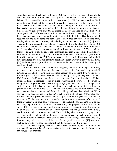servants cometh, and reckoneth with them. [20] And so he that had received five talents came and brought other five talents, saying, Lord, thou deliveredst unto me five talents: behold, I have gained beside them five talents more. [21] His lord said unto him, Well done, thou good and faithful servant: thou hast been faithful over a few things, I will make thee ruler over many things: enter thou into the joy of thy lord. [22] He also that had received two talents came and said, Lord, thou deliveredst unto me two talents: behold, I have gained two other talents beside them. [23] His lord said unto him, Well done, good and faithful servant; thou hast been faithful over a few things, I will make thee ruler over many things: enter thou into the joy of thy lord. [24] Then he which had received the one talent came and said, Lord, I knew thee that thou art an hard man, reaping where thou hast not sown, and gathering where thou hast not strawed: [25] And I was afraid, and went and hid thy talent in the earth: lo, there thou hast that is thine. [26] His lord answered and said unto him, Thou wicked and slothful servant, thou knewest that I reap where I sowed not, and gather where I have not strawed: [27] Thou oughtest therefore to have put my money to the exchangers, and then at my coming I should have received mine own with usury. [28] Take therefore the talent from him, and give it unto him which hath ten talents. [29] For unto every one that hath shall be given, and he shall have abundance: but from him that hath not shall be taken away even that which he hath. [30] And cast ye the unprofitable servant into outer darkness: there shall be weeping and gnashing of teeth.

 [31] When the Son of man shall come in his glory, and all the holy angels with him, then shall he sit upon the throne of his glory: [32] And before him shall be gathered all nations: and he shall separate them one from another, as a shepherd divideth his sheep from the goats: [33] And he shall set the sheep on his right hand, but the goats on the left. [34] Then shall the King say unto them on his right hand, Come, ye blessed of my Father, inherit the kingdom prepared for you from the foundation of the world: [35] For I was an hungred, and ye gave me meat: I was thirsty, and ye gave me drink: I was a stranger, and ye took me in: [36] Naked, and ye clothed me: I was sick, and ye visited me: I was in prison, and ye came unto me. [37] Then shall the righteous answer him, saying, Lord, when saw we thee an hungred, and fed thee? or thirsty, and gave thee drink? [38] When saw we thee a stranger, and took thee in? or naked, and clothed thee? [39] Or when saw we thee sick, or in prison, and came unto thee? [40] And the King shall answer and say unto them, Verily I say unto you, Inasmuch as ye have done it unto one of the least of these my brethren, ye have done it unto me. [41] Then shall he say also unto them on the left hand, Depart from me, ye cursed, into everlasting fire, prepared for the devil and his angels: [42] For I was an hungred, and ye gave me no meat: I was thirsty, and ye gave me no drink: [43] I was a stranger, and ye took me not in: naked, and ye clothed me not: sick, and in prison, and ye visited me not. [44] Then shall they also answer him, saying, Lord, when saw we thee an hungred, or athirst, or a stranger, or naked, or sick, or in prison, and did not minister unto thee? [45] Then shall he answer them, saying, Verily I say unto you, Inasmuch as ye did it not to one of the least of these, ye did it not to me. [46] And these shall go away into everlasting punishment: but the righteous into life eternal.

[26:1] And it came to pass, when Jesus had finished all these sayings, he said unto his disciples, [2] Ye know that after two days is the feast of the passover, and the Son of man is betrayed to be crucified.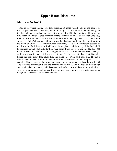# Upper Room Discourses

### Matthew 26:26-35

 And as they were eating, Jesus took bread, and blessed it, and brake it, and gave it to the disciples, and said, Take, eat; this is my body. [27] And he took the cup, and gave thanks, and gave it to them, saying, Drink ye all of it; [28] For this is my blood of the new testament, which is shed for many for the remission of sins. [29] But I say unto you, I will not drink henceforth of this fruit of the vine, until that day when I drink it new with you in my Father's kingdom. [30] And when they had sung an hymn, they went out into the mount of Olives. [31] Then saith Jesus unto them, All ye shall be offended because of me this night: for it is written, I will smite the shepherd, and the sheep of the flock shall be scattered abroad. [32] But after I am risen again, I will go before you into Galilee. [33] Peter answered and said unto him, Though all men shall be offended because of thee, yet will I never be offended. [34] Jesus said unto him, Verily I say unto thee, That this night, before the cock crow, thou shalt deny me thrice. [35] Peter said unto him, Though I should die with thee, yet will I not deny thee. Likewise also said all the disciples. ended. [18] And these are they which are sown among thorns; such as hear the word, [19] And the cares of this world, and the deceitfulness of riches, and the lusts of other things

entering in, choke the word, and it becometh unfruitful. [20] And these are they which are sown on good ground; such as hear the word, and receive it, and bring forth fruit, some thirtyfold, some sixty, and some an hundred.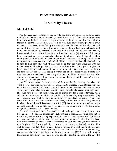#### FROM THE BOOK OF MARK

# Parables by The Sea

#### Mark 4:1-34

 And he began again to teach by the sea side: and there was gathered unto him a great multitude, so that he entered into a ship, and sat in the sea; and the whole multitude was by the sea on the land. [2] And he taught them many things by parables, and said unto them in his doctrine, [3] Hearken; Behold, there went out a sower to sow: [4] And it came to pass, as he sowed, some fell by the way side, and the fowls of the air came and devoured it up. [5] And some fell on stony ground, where it had not much earth; and immediately it sprang up, because it had no depth of earth: [6] But when the sun was up, it was scorched; and because it had no root, it withered away. [7] And some fell among thorns, and the thorns grew up, and choked it, and it yielded no fruit. [8] And other fell on good ground, and did yield fruit that sprang up and increased; and brought forth, some thirty, and some sixty, and some an hundred. [9] And he said unto them, He that hath ears to hear, let him hear. [10] And when he was alone, they that were about him with the twelve asked of him the parable. [11] And he said unto them, Unto you it is given to know the mystery of the kingdom of God: but unto them that are without, all these things are done in parables: [12] That seeing they may see, and not perceive; and hearing they may hear, and not understand; lest at any time they should be converted, and their sins should be forgiven them. [13] And he said unto them, Know ye not this parable? and how then will ye know all parables?

[14] The sower soweth the word. [15] And these are they by the way side, where the word is sown; but when they have heard, Satan cometh immediately, and taketh away the word that was sown in their hearts. [16] And these are they likewise which are sown on stony ground; who, when they have heard the word, immediately receive it with gladness; [17] And have no root in themselves, and so endure but for a time: afterward, when affliction or persecution ariseth for the word's sake, immediately they are offended. [18] And these are they which are sown among thorns; such as hear the word, [19] And the cares of this world, and the deceitfulness of riches, and the lusts of other things entering in, choke the word, and it becometh unfruitful. [20] And these are they which are sown on good ground; such as hear the word, and receive it, and bring forth fruit, some thirtyfold, some sixty, and some an hundred.

[21] And he said unto them, Is a candle brought to be put under a bushel, or under a bed? and not to be set on a candlestick? [22] For there is nothing hid, which shall not be manifested; neither was any thing kept secret, but that it should come abroad. [23] If any man have ears to hear, let him hear. [24] And he said unto them, Take heed what ye hear: with what measure ye mete, it shall be measured to you: and unto you that hear shall more be given. [25] For he that hath, to him shall be given: and he that hath not, from him shall be taken even that which he hath. [26] And he said, So is the kingdom of God, as if a man should cast seed into the ground; [27] And should sleep, and rise night and day, and the seed should spring and grow up, he knoweth not how. [28] For the earth bringeth forth fruit of herself; first the blade, then the ear, after that the full corn in the ear. [29]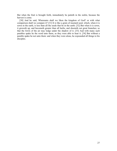But when the fruit is brought forth, immediately he putteth in the sickle, because the harvest is come.

[30] And he said, Whereunto shall we liken the kingdom of God? or with what comparison shall we compare it? [31] It is like a grain of mustard seed, which, when it is sown in the earth, is less than all the seeds that be in the earth: [32] But when it is sown, it groweth up, and becometh greater than all herbs, and shooteth out great branches; so that the fowls of the air may lodge under the shadow of it. [33] And with many such parables spake he the word unto them, as they were able to hear it. [34] But without a parable spake he not unto them: and when they were alone, he expounded all things to his disciples.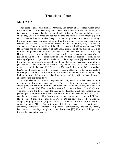# Traditions of men

### Mark 7:1-23

 Then came together unto him the Pharisees, and certain of the scribes, which came from Jerusalem. [2] And when they saw some of his disciples eat bread with defiled, that is to say, with unwashen, hands, they found fault. [3] For the Pharisees, and all the Jews, except they wash their hands oft, eat not, holding the tradition of the elders. [4] And when they come from the market, except they wash, they eat not. And many other things there be, which they have received to hold, as the washing of cups, and pots, brasen vessels, and of tables. [5] Then the Pharisees and scribes asked him, Why walk not thy disciples according to the tradition of the elders, but eat bread with unwashen hands? [6] He answered and said unto them, Well hath Esaias prophesied of you hypocrites, as it is written, This people honoureth me with their lips, but their heart is far from me. [7] Howbeit in vain do they worship me, teaching for doctrines the commandments of men. [8] For laying aside the commandment of God, ye hold the tradition of men, as the washing of pots and cups: and many other such like things ye do. [9] And he said unto them, Full well ye reject the commandment of God, that ye may keep your own tradition. [10] For Moses said, Honour thy father and thy mother; and, Whoso curseth father or mother, let him die the death: [11] But ye say, If a man shall say to his father or mother, It is Corban, that is to say, a gift, by whatsoever thou mightest be profited by me; he shall be free. [12] And ye suffer him no more to do ought for his father or his mother; [13] Making the word of God of none effect through your tradition, which ye have delivered: and many such like things do ye.

[14] And when he had called all the people unto him, he said unto them, Hearken unto me every one of you, and understand: [15] There is nothing from without a man, that entering into him can defile him: but the things which come out of him, those are they that defile the man. [16] If any man have ears to hear, let him hear. [17] And when he was entered into the house from the people, his disciples asked him concerning the parable. [18] And he saith unto them, Are ye so without understanding also? Do ye not perceive, that whatsoever thing from without entereth into the man, it cannot defile him; [19] Because it entereth not into his heart, but into the belly, and goeth out into the draught, purging all meats? [20] And he said, That which cometh out of the man, that defileth the man. [21] For from within, out of the heart of men, proceed evil thoughts, adulteries, fornications, murders, [22] Thefts, covetousness, wickedness, deceit, lasciviousness, an evil eye, blasphemy, pride, foolishness: [23] All these evil things come from within, and defile the man.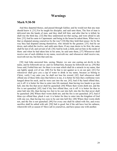# Warnings

#### Mark 9:30-50

 And they departed thence, and passed through Galilee; and he would not that any man should know it. [31] For he taught his disciples, and said unto them, The Son of man is delivered into the hands of men, and they shall kill him; and after that he is killed, he shall rise the third day. [32] But they understood not that saying, and were afraid to ask him. [33] And he came to Capernaum: and being in the house he asked them, What was it that ye disputed among yourselves by the way? [34] But they held their peace: for by the way they had disputed among themselves, who should be the greatest. [35] And he sat down, and called the twelve, and saith unto them, If any man desire to be first, the same shall be last of all, and servant of all. [36] And he took a child, and set him in the midst of them: and when he had taken him in his arms, he said unto them, [37] Whosoever shall receive one of such children in my name, receiveth me: and whosoever shall receive me, receiveth not me, but him that sent me.

[38] And John answered him, saying, Master, we saw one casting out devils in thy name, and he followeth not us: and we forbad him, because he followeth not us. [39] But Jesus said, Forbid him not: for there is no man which shall do a miracle in my name, that can lightly speak evil of me. [40] For he that is not against us is on our part. [41] For whosoever shall give you a cup of water to drink in my name, because ye belong to Christ, verily I say unto you, he shall not lose his reward. [42] And whosoever shall offend one of these little ones that believe in me, it is better for him that a millstone were hanged about his neck, and he were cast into the sea. [43] And if thy hand offend thee, cut it off: it is better for thee to enter into life maimed, than having two hands to go into hell, into the fire that never shall be quenched: [44] Where their worm dieth not, and the fire is not quenched. [45] And if thy foot offend thee, cut it off: it is better for thee to enter halt into life, than having two feet to be cast into hell, into the fire that never shall be quenched: [46] Where their worm dieth not, and the fire is not quenched. [47] And if thine eye offend thee, pluck it out: it is better for thee to enter into the kingdom of God with one eye, than having two eyes to be cast into hell fire: [48] Where their worm dieth not, and the fire is not quenched. [49] For every one shall be salted with fire, and every sacrifice shall be salted with salt. [50] Salt is good: but if the salt have lost his saltness, wherewith will ye season it? Have salt in yourselves, and have peace one with another.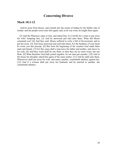# Concerning Divorce

### Mark 10:1-12

 And he arose from thence, and cometh into the coasts of Judaea by the farther side of Jordan: and the people resort unto him again; and, as he was wont, he taught them again.

 [2] And the Pharisees came to him, and asked him, Is it lawful for a man to put away his wife? tempting him. [3] And he answered and said unto them, What did Moses command you? [4] And they said, Moses suffered to write a bill of divorcement, and to put her away. [5] And Jesus answered and said unto them, For the hardness of your heart he wrote you this precept. [6] But from the beginning of the creation God made them male and female. [7] For this cause shall a man leave his father and mother, and cleave to his wife; [8] And they twain shall be one flesh: so then they are no more twain, but one flesh. [9] What therefore God hath joined together, let not man put asunder. [10] And in the house his disciples asked him again of the same matter. [11] And he saith unto them, Whosoever shall put away his wife, and marry another, committeth adultery against her. [12] And if a woman shall put away her husband, and be married to another, she committeth adultery.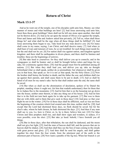# Return of Christ

### Mark 13:1-37

 And as he went out of the temple, one of his disciples saith unto him, Master, see what manner of stones and what buildings are here! [2] And Jesus answering said unto him, Seest thou these great buildings? there shall not be left one stone upon another, that shall not be thrown down. [3] And as he sat upon the mount of Olives over against the temple, Peter and James and John and Andrew asked him privately, [4] Tell us, when shall these things be? and what shall be the sign when all these things shall be fulfilled? [5] And Jesus answering them began to say, Take heed lest any man deceive you: [6] For many shall come in my name, saying, I am Christ; and shall deceive many. [7] And when ye shall hear of wars and rumours of wars, be ye not troubled: for such things must needs be; but the end shall not be yet. [8] For nation shall rise against nation, and kingdom against kingdom: and there shall be earthquakes in divers places, and there shall be famines and troubles: these are the beginnings of sorrows.

 [9] But take heed to yourselves: for they shall deliver you up to councils; and in the synagogues ye shall be beaten: and ye shall be brought before rulers and kings for my sake, for a testimony against them. [10] And the gospel must first be published among all nations. [11] But when they shall lead you, and deliver you up, take no thought beforehand what ye shall speak, neither do ye premeditate: but whatsoever shall be given you in that hour, that speak ye: for it is not ye that speak, but the Holy Ghost. [12] Now the brother shall betray the brother to death, and the father the son; and children shall rise up against their parents, and shall cause them to be put to death. [13] And ye shall be hated of all men for my name's sake: but he that shall endure unto the end, the same shall be saved.

 [14] But when ye shall see the abomination of desolation, spoken of by Daniel the prophet, standing where it ought not, (let him that readeth understand,) then let them that be in Judaea flee to the mountains: [15] And let him that is on the housetop not go down into the house, neither enter therein, to take any thing out of his house: [16] And let him that is in the field not turn back again for to take up his garment. [17] But woe to them that are with child, and to them that give suck in those days! [18] And pray ye that your flight be not in the winter. [19] For in those days shall be affliction, such as was not from the beginning of the creation which God created unto this time, neither shall be. [20] And except that the Lord had shortened those days, no flesh should be saved: but for the elect's sake, whom he hath chosen, he hath shortened the days. [21] And then if any man shall say to you, Lo, here is Christ; or, lo, he is there; believe him not: [22] For false Christs and false prophets shall rise, and shall shew signs and wonders, to seduce, if it were possible, even the elect. [23] But take ye heed: behold, I have foretold you all things.

[24] But in those days, after that tribulation, the sun shall be darkened, and the moon shall not give her light, [25] And the stars of heaven shall fall, and the powers that are in heaven shall be shaken. [26] And then shall they see the Son of man coming in the clouds with great power and glory. [27] And then shall he send his angels, and shall gather together his elect from the four winds, from the uttermost part of the earth to the uttermost part of heaven. [28] Now learn a parable of the fig tree; When her branch is yet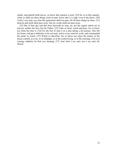tender, and putteth forth leaves, ye know that summer is near: [29] So ye in like manner, when ye shall see these things come to pass, know that it is nigh, even at the doors. [30] Verily I say unto you, that this generation shall not pass, till all these things be done. [31] Heaven and earth shall pass away: but my words shall not pass away.

[32] But of that day and that hour knoweth no man, no, not the angels which are in heaven, neither the Son, but the Father. [33] Take ye heed, watch and pray: for ye know not when the time is. [34] For the Son of man is as a man taking a far journey, who left his house, and gave authority to his servants, and to every man his work, and commanded the porter to watch. [35] Watch ye therefore: for ye know not when the master of the house cometh, at even, or at midnight, or at the cockcrowing, or in the morning: [36] Lest coming suddenly he find you sleeping. [37] And what I say unto you I say unto all, Watch.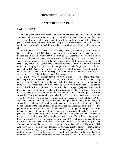#### FROM THE BOOK OF LUKE

# Sermon on the Plain

#### Luke 6:17-7:1

 And he came down with them, and stood in the plain, and the company of his disciples, and a great multitude of people out of all Judaea and Jerusalem, and from the sea coast of Tyre and Sidon, which came to hear him, and to be healed of their diseases; [18] And they that were vexed with unclean spirits: and they were healed. [19] And the whole multitude sought to touch him: for there went virtue out of him, and healed them all.

 [20] And he lifted up his eyes on his disciples, and said, Blessed be ye poor: for yours is the kingdom of God. [21] Blessed are ye that hunger now: for ye shall be filled. Blessed are ye that weep now: for ye shall laugh. [22] Blessed are ye, when men shall hate you, and when they shall separate you from their company, and shall reproach you, and cast out your name as evil, for the Son of man's sake. [23] Rejoice ye in that day, and leap for joy: for, behold, your reward is great in heaven: for in the like manner did their fathers unto the prophets. [24] But woe unto you that are rich! for ye have received your consolation. [25] Woe unto you that are full! for ye shall hunger. Woe unto you that laugh now! for ye shall mourn and weep. [26] Woe unto you, when all men shall speak well of you! for so did their fathers to the false prophets.

 [27] But I say unto you which hear, Love your enemies, do good to them which hate you, [28] Bless them that curse you, and pray for them which despitefully use you. [29] And unto him that smiteth thee on the one cheek offer also the other; and him that taketh away thy cloke forbid not to take thy coat also. [30] Give to every man that asketh of thee; and of him that taketh away thy goods ask them not again. [31] And as ye would that men should do to you, do ye also to them likewise. [32] For if ye love them which love you, what thank have ye? for sinners also love those that love them. [33] And if ye do good to them which do good to you, what thank have ye? for sinners also do even the same. [34] And if ye lend to them of whom ye hope to receive, what thank have ye? for sinners also lend to sinners, to receive as much again. [35] But love ye your enemies, and do good, and lend, hoping for nothing again; and your reward shall be great, and ye shall be the children of the Highest: for he is kind unto the unthankful and to the evil. [36] Be ye therefore merciful, as your Father also is merciful. [37] Judge not, and ye shall not be judged: condemn not, and ye shall not be condemned: forgive, and ye shall be forgiven: [38] Give, and it shall be given unto you; good measure, pressed down, and shaken together, and running over, shall men give into your bosom. For with the same measure that ye mete withal it shall be measured to you again. [39] And he spake a parable unto them, Can the blind lead the blind? shall they not both fall into the ditch? [40] The disciple is not above his master: but every one that is perfect shall be as his master. [41] And why beholdest thou the mote that is in thy brother's eye, but perceivest not the beam that is in thine own eye? [42] Either how canst thou say to thy brother, Brother, let me pull out the mote that is in thine eye, when thou thyself beholdest not the beam that is in thine own eye? Thou hypocrite, cast out first the beam out of thine own eye, and then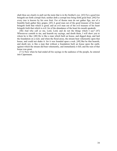shalt thou see clearly to pull out the mote that is in thy brother's eye. [43] For a good tree bringeth not forth corrupt fruit; neither doth a corrupt tree bring forth good fruit. [44] For every tree is known by his own fruit. For of thorns men do not gather figs, nor of a bramble bush gather they grapes. [45] A good man out of the good treasure of his heart bringeth forth that which is good; and an evil man out of the evil treasure of his heart bringeth forth that which is evil: for of the abundance of the heart his mouth speaketh.

[46] And why call ye me, Lord, Lord, and do not the things which I say? [47] Whosoever cometh to me, and heareth my sayings, and doeth them, I will shew you to whom he is like: [48] He is like a man which built an house, and digged deep, and laid the foundation on a rock: and when the flood arose, the stream beat vehemently upon that house, and could not shake it: for it was founded upon a rock. [49] But he that heareth, and doeth not, is like a man that without a foundation built an house upon the earth; against which the stream did beat vehemently, and immediately it fell; and the ruin of that house was great.

 [7:1] Now when he had ended all his sayings in the audience of the people, he entered into Capernaum.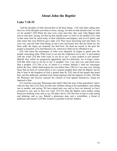### About John the Baptist

### Luke 7:18-35

 And the disciples of John shewed him of all these things. [19] And John calling unto him two of his disciples sent them to Jesus, saying, Art thou he that should come? or look we for another? [20] When the men were come unto him, they said, John Baptist hath sent us unto thee, saying, Art thou he that should come? or look we for another? [21] And in that same hour he cured many of their infirmities and plagues, and of evil spirits; and unto many that were blind he gave sight. [22] Then Jesus answering said unto them, Go your way, and tell John what things ye have seen and heard; how that the blind see, the lame walk, the lepers are cleansed, the deaf hear, the dead are raised, to the poor the gospel is preached. [23] And blessed is he, whosoever shall not be offended in me.

 [24] And when the messengers of John were departed, he began to speak unto the people concerning John, What went ye out into the wilderness for to see? A reed shaken with the wind? [25] But what went ye out for to see? A man clothed in soft raiment? Behold, they which are gorgeously apparelled, and live delicately, are in kings' courts. [26] But what went ye out for to see? A prophet? Yea, I say unto you, and much more than a prophet. [27] This is he, of whom it is written, Behold, I send my messenger before thy face, which shall prepare thy way before thee. [28] For I say unto you, Among those that are born of women there is not a greater prophet than John the Baptist: but he that is least in the kingdom of God is greater than he. [29] And all the people that heard him, and the publicans, justified God, being baptized with the baptism of John. [30] But the Pharisees and lawyers rejected the counsel of God against themselves, being not baptized of him.

 [31] And the Lord said, Whereunto then shall I liken the men of this generation? and to what are they like? [32] They are like unto children sitting in the marketplace, and calling one to another, and saying, We have piped unto you, and ye have not danced; we have mourned to you, and ye have not wept. [33] For John the Baptist came neither eating bread nor drinking wine; and ye say, He hath a devil. [34] The Son of man is come eating and drinking; and ye say, Behold a gluttonous man, and a winebibber, a friend of publicans and sinners! [35] But wisdom is justified of all her children.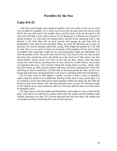## Parables by the Sea

# Luke 8:4-21

 And when much people were gathered together, and were come to him out of every city, he spake by a parable: [5] A sower went out to sow his seed: and as he sowed, some fell by the way side; and it was trodden down, and the fowls of the air devoured it. [6] And some fell upon a rock; and as soon as it was sprung up, it withered away, because it lacked moisture. [7] And some fell among thorns; and the thorns sprang up with it, and choked it. [8] And other fell on good ground, and sprang up, and bare fruit an hundredfold. And when he had said these things, he cried, He that hath ears to hear, let him hear. [9] And his disciples asked him, saying, What might this parable be? [10] And he said, Unto you it is given to know the mysteries of the kingdom of God: but to others in parables; that seeing they might not see, and hearing they might not understand. [11] Now the parable is this: The seed is the word of God. [12] Those by the way side are they that hear; then cometh the devil, and taketh away the word out of their hearts, lest they should believe and be saved. [13] They on the rock are they, which, when they hear, receive the word with joy; and these have no root, which for a while believe, and in time of temptation fall away. [14] And that which fell among thorns are they, which, when they have heard, go forth, and are choked with cares and riches and pleasures of this life, and bring no fruit to perfection. [15] But that on the good ground are they, which in an honest and good heart, having heard the word, keep it, and bring forth fruit with patience.

[16] No man, when he hath lighted a candle, covereth it with a vessel, or putteth it under a bed; but setteth it on a candlestick, that they which enter in may see the light. [17] For nothing is secret, that shall not be made manifest; neither any thing hid, that shall not be known and come abroad. [18] Take heed therefore how ye hear: for whosoever hath, to him shall be given; and whosoever hath not, from him shall be taken even that which he seemeth to have.

[19] Then came to him his mother and his brethren, and could not come at him for the press. [20] And it was told him by certain which said, Thy mother and thy brethren stand without, desiring to see thee. [21] And he answered and said unto them, My mother and my brethren are these which hear the word of God, and do it.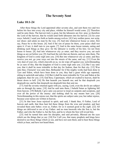### The Seventy Sent

#### Luke 10:1-24

 After these things the Lord appointed other seventy also, and sent them two and two before his face into every city and place, whither he himself would come. [2] Therefore said he unto them, The harvest truly is great, but the labourers are few: pray ye therefore the Lord of the harvest, that he would send forth labourers into his harvest. [3] Go your ways: behold, I send you forth as lambs among wolves. [4] Carry neither purse, nor scrip, nor shoes: and salute no man by the way. [5] And into whatsoever house ye enter, first say, Peace be to this house. [6] And if the son of peace be there, your peace shall rest upon it: if not, it shall turn to you again. [7] And in the same house remain, eating and drinking such things as they give: for the labourer is worthy of his hire. Go not from house to house. [8] And into whatsoever city ye enter, and they receive you, eat such things as are set before you: [9] And heal the sick that are therein, and say unto them, The kingdom of God is come nigh unto you. [10] But into whatsoever city ye enter, and they receive you not, go your ways out into the streets of the same, and say, [11] Even the very dust of your city, which cleaveth on us, we do wipe off against you: notwithstanding be ye sure of this, that the kingdom of God is come nigh unto you. [12] But I say unto you, that it shall be more tolerable in that day for Sodom, than for that city. [13] Woe unto thee, Chorazin! woe unto thee, Bethsaida! for if the mighty works had been done in Tyre and Sidon, which have been done in you, they had a great while ago repented, sitting in sackcloth and ashes. [14] But it shall be more tolerable for Tyre and Sidon at the judgment, than for you. [15] And thou, Capernaum, which art exalted to heaven, shalt be thrust down to hell. [16] He that heareth you heareth me; and he that despiseth you despiseth me; and he that despiseth me despiseth him that sent me.

[17] And the seventy returned again with joy, saying, Lord, even the devils are subject unto us through thy name. [18] And he said unto them, I beheld Satan as lightning fall from heaven. [19] Behold, I give unto you power to tread on serpents and scorpions, and over all the power of the enemy: and nothing shall by any means hurt you. [20] Notwithstanding in this rejoice not, that the spirits are subject unto you; but rather rejoice, because your names are written in heaven.

 [21] In that hour Jesus rejoiced in spirit, and said, I thank thee, O Father, Lord of heaven and earth, that thou hast hid these things from the wise and prudent, and hast revealed them unto babes: even so, Father; for so it seemed good in thy sight. [22] All things are delivered to me of my Father: and no man knoweth who the Son is, but the Father; and who the Father is, but the Son, and he to whom the Son will reveal him.

 [23] And he turned him unto his disciples, and said privately, Blessed are the eyes which see the things that ye see: [24] For I tell you, that many prophets and kings have desired to see those things which ye see, and have not seen them; and to hear those things which ye hear, and have not heard them.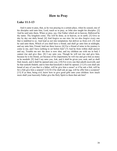## How to Pray

### Luke 11:1-13

 And it came to pass, that, as he was praying in a certain place, when he ceased, one of his disciples said unto him, Lord, teach us to pray, as John also taught his disciples. [2] And he said unto them, When ye pray, say, Our Father which art in heaven, Hallowed be thy name. Thy kingdom come. Thy will be done, as in heaven, so in earth. [3] Give us day by day our daily bread. [4] And forgive us our sins; for we also forgive every one that is indebted to us. And lead us not into temptation; but deliver us from evil. [5] And he said unto them, Which of you shall have a friend, and shall go unto him at midnight, and say unto him, Friend, lend me three loaves; [6] For a friend of mine in his journey is come to me, and I have nothing to set before him? [7] And he from within shall answer and say, Trouble me not: the door is now shut, and my children are with me in bed; I cannot rise and give thee. [8] I say unto you, Though he will not rise and give him, because he is his friend, yet because of his importunity he will rise and give him as many as he needeth. [9] And I say unto you, Ask, and it shall be given you; seek, and ye shall find; knock, and it shall be opened unto you. [10] For every one that asketh receiveth; and he that seeketh findeth; and to him that knocketh it shall be opened. [11] If a son shall ask bread of any of you that is a father, will he give him a stone? or if he ask a fish, will he for a fish give him a serpent? [12] Or if he shall ask an egg, will he offer him a scorpion? [13] If ye then, being evil, know how to give good gifts unto your children: how much more shall your heavenly Father give the Holy Spirit to them that ask him?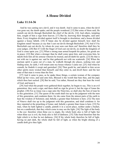# A House Divided

### Luke 11:14-36

 And he was casting out a devil, and it was dumb. And it came to pass, when the devil was gone out, the dumb spake; and the people wondered. [15] But some of them said, He casteth out devils through Beelzebub the chief of the devils. [16] And others, tempting him, sought of him a sign from heaven. [17] But he, knowing their thoughts, said unto them, Every kingdom divided against itself is brought to desolation; and a house divided against a house falleth. [18] If Satan also be divided against himself, how shall his kingdom stand? because ye say that I cast out devils through Beelzebub. [19] And if I by Beelzebub cast out devils, by whom do your sons cast them out? therefore shall they be your judges. [20] But if I with the finger of God cast out devils, no doubt the kingdom of God is come upon you. [21] When a strong man armed keepeth his palace, his goods are in peace: [22] But when a stronger than he shall come upon him, and overcome him, he taketh from him all his armour wherein he trusted, and divideth his spoils. [23] He that is not with me is against me: and he that gathereth not with me scattereth. [24] When the unclean spirit is gone out of a man, he walketh through dry places, seeking rest; and finding none, he saith, I will return unto my house whence I came out. [25] And when he cometh, he findeth it swept and garnished. [26] Then goeth he, and taketh to him seven other spirits more wicked than himself; and they enter in, and dwell there: and the last state of that man is worse than the first.

 [27] And it came to pass, as he spake these things, a certain woman of the company lifted up her voice, and said unto him, Blessed is the womb that bare thee, and the paps which thou hast sucked. [28] But he said, Yea rather, blessed are they that hear the word of God, and keep it.

 [29] And when the people were gathered thick together, he began to say, This is an evil generation: they seek a sign; and there shall no sign be given it, but the sign of Jonas the prophet. [30] For as Jonas was a sign unto the Ninevites, so shall also the Son of man be to this generation. [31] The queen of the south shall rise up in the judgment with the men of this generation, and condemn them: for she came from the utmost parts of the earth to hear the wisdom of Solomon; and, behold, a greater than Solomon is here. [32] The men of Nineve shall rise up in the judgment with this generation, and shall condemn it: for they repented at the preaching of Jonas; and, behold, a greater than Jonas is here. [33] No man, when he hath lighted a candle, putteth it in a secret place, neither under a bushel, but on a candlestick, that they which come in may see the light. [34] The light of the body is the eye: therefore when thine eye is single, thy whole body also is full of light; but when thine eye is evil, thy body also is full of darkness. [35] Take heed therefore that the light which is in thee be not darkness. [36] If thy whole body therefore be full of light, having no part dark, the whole shall be full of light, as when the bright shining of a candle doth give thee light.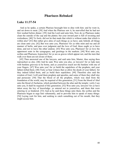# Pharisees Rebuked

### Luke 11:37-54

 And as he spake, a certain Pharisee besought him to dine with him: and he went in, and sat down to meat. [38] And when the Pharisee saw it, he marvelled that he had not first washed before dinner. [39] And the Lord said unto him, Now do ye Pharisees make clean the outside of the cup and the platter; but your inward part is full of ravening and wickedness. [40] Ye fools, did not he that made that which is without make that which is within also? [41] But rather give alms of such things as ye have; and, behold, all things are clean unto you. [42] But woe unto you, Pharisees! for ye tithe mint and rue and all manner of herbs, and pass over judgment and the love of God: these ought ye to have done, and not to leave the other undone. [43] Woe unto you, Pharisees! for ye love the uppermost seats in the synagogues, and greetings in the markets. [44] Woe unto you, scribes and Pharisees, hypocrites! for ye are as graves which appear not, and the men that walk over them are not aware of them.

 [45] Then answered one of the lawyers, and said unto him, Master, thus saying thou reproachest us also. [46] And he said, Woe unto you also, ye lawyers! for ye lade men with burdens grievous to be borne, and ye yourselves touch not the burdens with one of your fingers. [47] Woe unto you! for ye build the sepulchres of the prophets, and your fathers killed them. [48] Truly ye bear witness that ye allow the deeds of your fathers: for they indeed killed them, and ye build their sepulchres. [49] Therefore also said the wisdom of God, I will send them prophets and apostles, and some of them they shall slay and persecute: [50] That the blood of all the prophets, which was shed from the foundation of the world, may be required of this generation; [51] From the blood of Abel unto the blood of Zacharias, which perished between the altar and the temple: verily I say unto you, It shall be required of this generation. [52] Woe unto you, lawyers! for ye have taken away the key of knowledge: ye entered not in yourselves, and them that were entering in ye hindered. [53] And as he said these things unto them, the scribes and the Pharisees began to urge him vehemently, and to provoke him to speak of many things: [54] Laying wait for him, and seeking to catch something out of his mouth, that they might accuse him.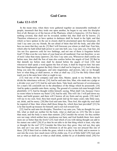# God Cares

### Luke 12:1-13:9

 In the mean time, when there were gathered together an innumerable multitude of people, insomuch that they trode one upon another, he began to say unto his disciples first of all, Beware ye of the leaven of the Pharisees, which is hypocrisy. [2] For there is nothing covered, that shall not be revealed; neither hid, that shall not be known. [3] Therefore whatsoever ye have spoken in darkness shall be heard in the light; and that which ye have spoken in the ear in closets shall be proclaimed upon the housetops. [4] And I say unto you my friends, Be not afraid of them that kill the body, and after that have no more that they can do. [5] But I will forewarn you whom ye shall fear: Fear him, which after he hath killed hath power to cast into hell; yea, I say unto you, Fear him. [6] Are not five sparrows sold for two farthings, and not one of them is forgotten before God? [7] But even the very hairs of your head are all numbered. Fear not therefore: ye are of more value than many sparrows. [8] Also I say unto you, Whosoever shall confess me before men, him shall the Son of man also confess before the angels of God: [9] But he that denieth me before men shall be denied before the angels of God. [10] And whosoever shall speak a word against the Son of man, it shall be forgiven him: but unto him that blasphemeth against the Holy Ghost it shall not be forgiven. [11] And when they bring you unto the synagogues, and unto magistrates, and powers, take ye no thought how or what thing ye shall answer, or what ye shall say: [12] For the Holy Ghost shall teach you in the same hour what ye ought to say.

[13] And one of the company said unto him, Master, speak to my brother, that he divide the inheritance with me. [14] And he said unto him, Man, who made me a judge or a divider over you? [15] And he said unto them, Take heed, and beware of covetousness: for a man's life consisteth not in the abundance of the things which he possesseth. [16] And he spake a parable unto them, saying, The ground of a certain rich man brought forth plentifully: [17] And he thought within himself, saying, What shall I do, because I have no room where to bestow my fruits? [18] And he said, This will I do: I will pull down my barns, and build greater; and there will I bestow all my fruits and my goods. [19] And I will say to my soul, Soul, thou hast much goods laid up for many years; take thine ease, eat, drink, and be merry. [20] But God said unto him, Thou fool, this night thy soul shall be required of thee: then whose shall those things be, which thou hast provided? [21] So is he that layeth up treasure for himself, and is not rich toward God.

[22] And he said unto his disciples, Therefore I say unto you, Take no thought for your life, what ye shall eat; neither for the body, what ye shall put on. [23] The life is more than meat, and the body is more than raiment. [24] Consider the ravens: for they neither sow nor reap; which neither have storehouse nor barn; and God feedeth them: how much more are ye better than the fowls? [25] And which of you with taking thought can add to his stature one cubit? [26] If ye then be not able to do that thing which is least, why take ye thought for the rest? [27] Consider the lilies how they grow: they toil not, they spin not; and yet I say unto you, that Solomon in all his glory was not arrayed like one of these. [28] If then God so clothe the grass, which is to day in the field, and to morrow is cast into the oven; how much more will he clothe you, O ye of little faith? [29] And seek not ye what ye shall eat, or what ye shall drink, neither be ye of doubtful mind. [30] For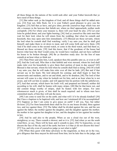all these things do the nations of the world seek after: and your Father knoweth that ye have need of these things.

[31] But rather seek ye the kingdom of God; and all these things shall be added unto you. [32] Fear not, little flock; for it is your Father's good pleasure to give you the kingdom. [33] Sell that ye have, and give alms; provide yourselves bags which wax not old, a treasure in the heavens that faileth not, where no thief approacheth, neither moth corrupteth. [34] For where your treasure is, there will your heart be also. [35] Let your loins be girded about, and your lights burning; [36] And ye yourselves like unto men that wait for their lord, when he will return from the wedding; that when he cometh and knocketh, they may open unto him immediately. [37] Blessed are those servants, whom the lord when he cometh shall find watching: verily I say unto you, that he shall gird himself, and make them to sit down to meat, and will come forth and serve them. [38] And if he shall come in the second watch, or come in the third watch, and find them so, blessed are those servants. [39] And this know, that if the goodman of the house had known what hour the thief would come, he would have watched, and not have suffered his house to be broken through. [40] Be ye therefore ready also: for the Son of man cometh at an hour when ye think not.

[41] Then Peter said unto him, Lord, speakest thou this parable unto us, or even to all? [42] And the Lord said, Who then is that faithful and wise steward, whom his lord shall make ruler over his household, to give them their portion of meat in due season? [43] Blessed is that servant, whom his lord when he cometh shall find so doing. [44] Of a truth I say unto you, that he will make him ruler over all that he hath. [45] But and if that servant say in his heart, My lord delayeth his coming; and shall begin to beat the menservants and maidens, and to eat and drink, and to be drunken; [46] The lord of that servant will come in a day when he looketh not for him, and at an hour when he is not aware, and will cut him in sunder, and will appoint him his portion with the unbelievers. [47] And that servant, which knew his lord's will, and prepared not himself, neither did according to his will, shall be beaten with many stripes. [48] But he that knew not, and did commit things worthy of stripes, shall be beaten with few stripes. For unto whomsoever much is given, of him shall be much required: and to whom men have committed much, of him they will ask the more.

[49] I am come to send fire on the earth; and what will I if it be already kindled? [50] But I have a baptism to be baptized with; and how am I straitened till it be accomplished! [51] Suppose ye that I am come to give peace on earth? I tell you, Nay; but rather division: [52] For from henceforth there shall be five in one house divided, three against two, and two against three. [53] The father shall be divided against the son, and the son against the father; the mother against the daughter, and the daughter against the mother; the mother in law against her daughter in law, and the daughter in law against her mother in law.

 [54] And he said also to the people, When ye see a cloud rise out of the west, straightway ye say, There cometh a shower; and so it is. [55] And when ye see the south wind blow, ye say, There will be heat; and it cometh to pass. [56] Ye hypocrites, ye can discern the face of the sky and of the earth; but how is it that ye do not discern this time? [57] Yea, and why even of yourselves judge ye not what is right?

 [58] When thou goest with thine adversary to the magistrate, as thou art in the way, give diligence that thou mayest be delivered from him; lest he hale thee to the judge, and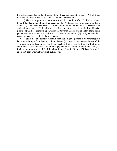the judge deliver thee to the officer, and the officer cast thee into prison. [59] I tell thee, thou shalt not depart thence, till thou hast paid the very last mite.

[13:1] There were present at that season some that told him of the Galilaeans, whose blood Pilate had mingled with their sacrifices. [2] And Jesus answering said unto them, Suppose ye that these Galilaeans were sinners above all the Galilaeans, because they suffered such things? [3] I tell you, Nay: but, except ye repent, ye shall all likewise perish. [4] Or those eighteen, upon whom the tower in Siloam fell, and slew them, think ye that they were sinners above all men that dwelt in Jerusalem? [5] I tell you, Nay: but, except ye repent, ye shall all likewise perish.

 [6] He spake also this parable; A certain man had a fig tree planted in his vineyard; and he came and sought fruit thereon, and found none. [7] Then said he unto the dresser of his vineyard, Behold, these three years I come seeking fruit on this fig tree, and find none: cut it down; why cumbereth it the ground? [8] And he answering said unto him, Lord, let it alone this year also, till I shall dig about it, and dung it: [9] And if it bear fruit, well: and if not, then after that thou shalt cut it down.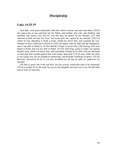# Discipleship

#### Luke 14:25-35

 And there went great multitudes with him: and he turned, and said unto them, [26] If any man come to me, and hate not his father, and mother, and wife, and children, and brethren, and sisters, yea, and his own life also, he cannot be my disciple. [27] And whosoever doth not bear his cross, and come after me, cannot be my disciple. [28] For which of you, intending to build a tower, sitteth not down first, and counteth the cost, whether he have sufficient to finish it? [29] Lest haply, after he hath laid the foundation, and is not able to finish it, all that behold it begin to mock him, [30] Saying, This man began to build, and was not able to finish. [31] Or what king, going to make war against another king, sitteth not down first, and consulteth whether he be able with ten thousand to meet him that cometh against him with twenty thousand? [32] Or else, while the other is yet a great way off, he sendeth an ambassage, and desireth conditions of peace. [33] So likewise, whosoever he be of you that forsaketh not all that he hath, he cannot be my disciple.

 [34] Salt is good: but if the salt have lost his savour, wherewith shall it be seasoned? [35] It is neither fit for the land, nor yet for the dunghill; but men cast it out. He that hath ears to hear, let him hear.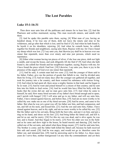# The Lost Parables

#### Luke 15:1-16:31

 Then drew near unto him all the publicans and sinners for to hear him. [2] And the Pharisees and scribes murmured, saying, This man receiveth sinners, and eateth with them.

 [3] And he spake this parable unto them, saying, [4] What man of you, having an hundred sheep, if he lose one of them, doth not leave the ninety and nine in the wilderness, and go after that which is lost, until he find it? [5] And when he hath found it, he layeth it on his shoulders, rejoicing. [6] And when he cometh home, he calleth together his friends and neighbours, saying unto them, Rejoice with me; for I have found my sheep which was lost. [7] I say unto you, that likewise joy shall be in heaven over one sinner that repenteth, more than over ninety and nine just persons, which need no repentance.

 [8] Either what woman having ten pieces of silver, if she lose one piece, doth not light a candle, and sweep the house, and seek diligently till she find it? [9] And when she hath found it, she calleth her friends and her neighbours together, saying, Rejoice with me; for I have found the piece which I had lost. [10] Likewise, I say unto you, there is joy in the presence of the angels of God over one sinner that repenteth.

[11] And he said, A certain man had two sons: [12] And the younger of them said to his father, Father, give me the portion of goods that falleth to me. And he divided unto them his living. [13] And not many days after the younger son gathered all together, and took his journey into a far country, and there wasted his substance with riotous living. [14] And when he had spent all, there arose a mighty famine in that land; and he began to be in want. [15] And he went and joined himself to a citizen of that country; and he sent him into his fields to feed swine. [16] And he would fain have filled his belly with the husks that the swine did eat: and no man gave unto him. [17] And when he came to himself, he said, How many hired servants of my father's have bread enough and to spare, and I perish with hunger! [18] I will arise and go to my father, and will say unto him, Father, I have sinned against heaven, and before thee, [19] And am no more worthy to be called thy son: make me as one of thy hired servants. [20] And he arose, and came to his father. But when he was yet a great way off, his father saw him, and had compassion, and ran, and fell on his neck, and kissed him. [21] And the son said unto him, Father, I have sinned against heaven, and in thy sight, and am no more worthy to be called thy son. [22] But the father said to his servants, Bring forth the best robe, and put it on him; and put a ring on his hand, and shoes on his feet: [23] And bring hither the fatted calf, and kill it; and let us eat, and be merry: [24] For this my son was dead, and is alive again; he was lost, and is found. And they began to be merry. [25] Now his elder son was in the field: and as he came and drew nigh to the house, he heard musick and dancing. [26] And he called one of the servants, and asked what these things meant. [27] And he said unto him, Thy brother is come; and thy father hath killed the fatted calf, because he hath received him safe and sound. [28] And he was angry, and would not go in: therefore came his father out, and intreated him. [29] And he answering said to his father, Lo, these many years do I serve thee, neither transgressed I at any time thy commandment: and yet thou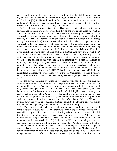never gavest me a kid, that I might make merry with my friends: [30] But as soon as this thy son was come, which hath devoured thy living with harlots, thou hast killed for him the fatted calf. [31] And he said unto him, Son, thou art ever with me, and all that I have is thine. [32] It was meet that we should make merry, and be glad: for this thy brother was dead, and is alive again; and was lost, and is found.

[16:1] And he said also unto his disciples, There was a certain rich man, which had a steward; and the same was accused unto him that he had wasted his goods. [2] And he called him, and said unto him, How is it that I hear this of thee? give an account of thy stewardship; for thou mayest be no longer steward. [3] Then the steward said within himself, What shall I do? for my lord taketh away from me the stewardship: I cannot dig; to beg I am ashamed. [4] I am resolved what to do, that, when I am put out of the stewardship, they may receive me into their houses. [5] So he called every one of his lord's debtors unto him, and said unto the first, How much owest thou unto my lord? [6] And he said, An hundred measures of oil. And he said unto him, Take thy bill, and sit down quickly, and write fifty. [7] Then said he to another, And how much owest thou? And he said, An hundred measures of wheat. And he said unto him, Take thy bill, and write fourscore. [8] And the lord commended the unjust steward, because he had done wisely: for the children of this world are in their generation wiser than the children of light. [9] And I say unto you, Make to yourselves friends of the mammon of unrighteousness; that, when ye fail, they may receive you into everlasting habitations. [10] He that is faithful in that which is least is faithful also in much: and he that is unjust in the least is unjust also in much. [11] If therefore ye have not been faithful in the unrighteous mammon, who will commit to your trust the true riches? [12] And if ye have not been faithful in that which is another man's, who shall give you that which is your own?

[13] No servant can serve two masters: for either he will hate the one, and love the other; or else he will hold to the one, and despise the other. Ye cannot serve God and mammon. [14] And the Pharisees also, who were covetous, heard all these things: and they derided him. [15] And he said unto them, Ye are they which justify yourselves before men; but God knoweth your hearts: for that which is highly esteemed among men is abomination in the sight of God. [16] The law and the prophets were until John: since that time the kingdom of God is preached, and every man presseth into it. [17] And it is easier for heaven and earth to pass, than one tittle of the law to fail. [18] Whosoever putteth away his wife, and marrieth another, committeth adultery: and whosoever marrieth her that is put away from her husband committeth adultery.

[19] There was a certain rich man, which was clothed in purple and fine linen, and fared sumptuously every day: [20] And there was a certain beggar named Lazarus, which was laid at his gate, full of sores, [21] And desiring to be fed with the crumbs which fell from the rich man's table: moreover the dogs came and licked his sores. [22] And it came to pass, that the beggar died, and was carried by the angels into Abraham's bosom: the rich man also died, and was buried; [23] And in hell he lift up his eyes, being in torments, and seeth Abraham afar off, and Lazarus in his bosom. [24] And he cried and said, Father Abraham, have mercy on me, and send Lazarus, that he may dip the tip of his finger in water, and cool my tongue; for I am tormented in this flame. [25] But Abraham said, Son, remember that thou in thy lifetime receivedst thy good things, and likewise Lazarus evil things: but now he is comforted, and thou art tormented. [26] And beside all this, between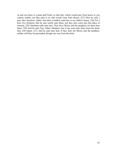us and you there is a great gulf fixed: so that they which would pass from hence to you cannot; neither can they pass to us, that would come from thence. [27] Then he said, I pray thee therefore, father, that thou wouldest send him to my father's house: [28] For I have five brethren; that he may testify unto them, lest they also come into this place of torment. [29] Abraham saith unto him, They have Moses and the prophets; let them hear them. [30] And he said, Nay, father Abraham: but if one went unto them from the dead, they will repent. [31] And he said unto him, If they hear not Moses and the prophets, neither will they be persuaded, though one rose from the dead.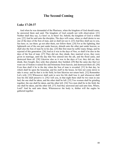# The Second Coming

#### Luke 17:20-37

 And when he was demanded of the Pharisees, when the kingdom of God should come, he answered them and said, The kingdom of God cometh not with observation: [21] Neither shall they say, Lo here! or, lo there! for, behold, the kingdom of God is within you. [22] And he said unto the disciples, The days will come, when ye shall desire to see one of the days of the Son of man, and ye shall not see it. [23] And they shall say to you, See here; or, see there: go not after them, nor follow them. [24] For as the lightning, that lighteneth out of the one part under heaven, shineth unto the other part under heaven; so shall also the Son of man be in his day. [25] But first must he suffer many things, and be rejected of this generation. [26] And as it was in the days of Noe, so shall it be also in the days of the Son of man. [27] They did eat, they drank, they married wives, they were given in marriage, until the day that Noe entered into the ark, and the flood came, and destroyed them all. [28] Likewise also as it was in the days of Lot; they did eat, they drank, they bought, they sold, they planted, they builded; [29] But the same day that Lot went out of Sodom it rained fire and brimstone from heaven, and destroyed them all. [30] Even thus shall it be in the day when the Son of man is revealed. [31] In that day, he which shall be upon the housetop, and his stuff in the house, let him not come down to take it away: and he that is in the field, let him likewise not return back. [32] Remember Lot's wife. [33] Whosoever shall seek to save his life shall lose it; and whosoever shall lose his life shall preserve it. [34] I tell you, in that night there shall be two men in one bed; the one shall be taken, and the other shall be left. [35] Two women shall be grinding together; the one shall be taken, and the other left. [36] Two men shall be in the field; the one shall be taken, and the other left. [37] And they answered and said unto him, Where, Lord? And he said unto them, Wheresoever the body is, thither will the eagles be gathered together.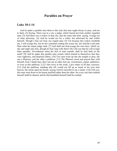# Parables on Prayer

#### Luke 18:1-14

 And he spake a parable unto them to this end, that men ought always to pray, and not to faint; [2] Saying, There was in a city a judge, which feared not God, neither regarded man: [3] And there was a widow in that city; and she came unto him, saying, Avenge me of mine adversary. [4] And he would not for a while: but afterward he said within himself, Though I fear not God, nor regard man; [5] Yet because this widow troubleth me, I will avenge her, lest by her continual coming she weary me. [6] And the Lord said, Hear what the unjust judge saith. [7] And shall not God avenge his own elect, which cry day and night unto him, though he bear long with them? [8] I tell you that he will avenge them speedily. Nevertheless when the Son of man cometh, shall he find faith on the earth? [9] And he spake this parable unto certain which trusted in themselves that they were righteous, and despised others: [10] Two men went up into the temple to pray; the one a Pharisee, and the other a publican. [11] The Pharisee stood and prayed thus with himself, God, I thank thee, that I am not as other men are, extortioners, unjust, adulterers, or even as this publican. [12] I fast twice in the week, I give tithes of all that I possess. [13] And the publican, standing afar off, would not lift up so much as his eyes unto heaven, but smote upon his breast, saying, God be merciful to me a sinner. [14] I tell you, this man went down to his house justified rather than the other: for every one that exalteth himself shall be abased; and he that humbleth himself shall be exalted.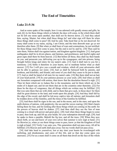# The End of Timetables

#### Luke 21:5-36

 And as some spake of the temple, how it was adorned with goodly stones and gifts, he said, [6] As for these things which ye behold, the days will come, in the which there shall not be left one stone upon another, that shall not be thrown down. [7] And they asked him, saying, Master, but when shall these things be? and what sign will there be when these things shall come to pass? [8] And he said, Take heed that ye be not deceived: for many shall come in my name, saying, I am Christ; and the time draweth near: go ye not therefore after them. [9] But when ye shall hear of wars and commotions, be not terrified: for these things must first come to pass; but the end is not by and by. [10] Then said he unto them, Nation shall rise against nation, and kingdom against kingdom: [11] And great earthquakes shall be in divers places, and famines, and pestilences; and fearful sights and great signs shall there be from heaven. [12] But before all these, they shall lay their hands on you, and persecute you, delivering you up to the synagogues, and into prisons, being brought before kings and rulers for my name's sake. [13] And it shall turn to you for a testimony. [14] Settle it therefore in your hearts, not to meditate before what ye shall answer: [15] For I will give you a mouth and wisdom, which all your adversaries shall not be able to gainsay nor resist. [16] And ye shall be betrayed both by parents, and brethren, and kinsfolks, and friends; and some of you shall they cause to be put to death. [17] And ye shall be hated of all men for my name's sake. [18] But there shall not an hair of your head perish. [19] In your patience possess ye your souls. [20] And when ye shall see Jerusalem compassed with armies, then know that the desolation thereof is nigh. [21] Then let them which are in Judaea flee to the mountains; and let them which are in the midst of it depart out; and let not them that are in the countries enter thereinto. [22] For these be the days of vengeance, that all things which are written may be fulfilled. [23] But woe unto them that are with child, and to them that give suck, in those days! for there shall be great distress in the land, and wrath upon this people. [24] And they shall fall by the edge of the sword, and shall be led away captive into all nations: and Jerusalem shall be trodden down of the Gentiles, until the times of the Gentiles be fulfilled.

 [25] And there shall be signs in the sun, and in the moon, and in the stars; and upon the earth distress of nations, with perplexity; the sea and the waves roaring; [26] Men's hearts failing them for fear, and for looking after those things which are coming on the earth: for the powers of heaven shall be shaken. [27] And then shall they see the Son of man coming in a cloud with power and great glory. [28] And when these things begin to come to pass, then look up, and lift up your heads; for your redemption draweth nigh. [29] And he spake to them a parable; Behold the fig tree, and all the trees; [30] When they now shoot forth, ye see and know of your own selves that summer is now nigh at hand. [31] So likewise ye, when ye see these things come to pass, know ye that the kingdom of God is nigh at hand. [32] Verily I say unto you, This generation shall not pass away, till all be fulfilled. [33] Heaven and earth shall pass away: but my words shall not pass away.

[34] And take heed to yourselves, lest at any time your hearts be overcharged with surfeiting, and drunkenness, and cares of this life, and so that day come upon you unawares. [35] For as a snare shall it come on all them that dwell on the face of the whole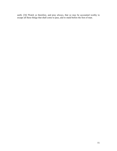earth. [36] Watch ye therefore, and pray always, that ye may be accounted worthy to escape all these things that shall come to pass, and to stand before the Son of man.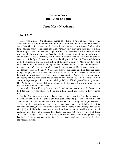# Sermons From the Book of John

### Jesus Meets Nicodemus

### John 3:1-21

 There was a man of the Pharisees, named Nicodemus, a ruler of the Jews: [2] The same came to Jesus by night, and said unto him, Rabbi, we know that thou art a teacher come from God: for no man can do these miracles that thou doest, except God be with him. [3] Jesus answered and said unto him, Verily, verily, I say unto thee, Except a man be born again, he cannot see the kingdom of God. [4] Nicodemus saith unto him, How can a man be born when he is old? can he enter the second time into his mother's womb, and be born? [5] Jesus answered, Verily, verily, I say unto thee, Except a man be born of water and of the Spirit, he cannot enter into the kingdom of God. [6] That which is born of the flesh is flesh; and that which is born of the Spirit is spirit. [7] Marvel not that I said unto thee, Ye must be born again. [8] The wind bloweth where it listeth, and thou hearest the sound thereof, but canst not tell whence it cometh, and whither it goeth: so is every one that is born of the Spirit. [9] Nicodemus answered and said unto him, How can these things be? [10] Jesus answered and said unto him, Art thou a master of Israel, and knowest not these things? [11] Verily, verily, I say unto thee, We speak that we do know, and testify that we have seen; and ye receive not our witness. [12] If I have told you earthly things, and ye believe not, how shall ye believe, if I tell you of heavenly things? [13] And no man hath ascended up to heaven, but he that came down from heaven, even the Son of man which is in heaven.

 [14] And as Moses lifted up the serpent in the wilderness, even so must the Son of man be lifted up: [15] That whosoever believeth in him should not perish, but have eternal life.

 [16] For God so loved the world, that he gave his only begotten Son, that whosoever believeth in him should not perish, but have everlasting life. [17] For God sent not his Son into the world to condemn the world; but that the world through him might be saved.

 [18] He that believeth on him is not condemned: but he that believeth not is condemned already, because he hath not believed in the name of the only begotten Son of God. [19] And this is the condemnation, that light is come into the world, and men loved darkness rather than light, because their deeds were evil. [20] For every one that doeth evil hateth the light, neither cometh to the light, lest his deeds should be reproved. [21] But he that doeth truth cometh to the light, that his deeds may be made manifest, that they are wrought in God.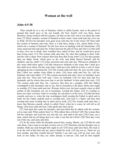# Woman at the well

#### John 4:5-38

 Then cometh he to a city of Samaria, which is called Sychar, near to the parcel of ground that Jacob gave to his son Joseph. [6] Now Jacob's well was there. Jesus therefore, being wearied with his journey, sat thus on the well: and it was about the sixth hour. [7] There cometh a woman of Samaria to draw water: Jesus saith unto her, Give me to drink. [8] (For his disciples were gone away unto the city to buy meat.) [9] Then saith the woman of Samaria unto him, How is it that thou, being a Jew, askest drink of me, which am a woman of Samaria? for the Jews have no dealings with the Samaritans. [10] Jesus answered and said unto her, If thou knewest the gift of God, and who it is that saith to thee, Give me to drink; thou wouldest have asked of him, and he would have given thee living water. [11] The woman saith unto him, Sir, thou hast nothing to draw with, and the well is deep: from whence then hast thou that living water? [12] Art thou greater than our father Jacob, which gave us the well, and drank thereof himself, and his children, and his cattle? [13] Jesus answered and said unto her, Whosoever drinketh of this water shall thirst again: [14] But whosoever drinketh of the water that I shall give him shall never thirst; but the water that I shall give him shall be in him a well of water springing up into everlasting life. [15] The woman saith unto him, Sir, give me this water, that I thirst not, neither come hither to draw. [16] Jesus saith unto her, Go, call thy husband, and come hither. [17] The woman answered and said, I have no husband. Jesus said unto her, Thou hast well said, I have no husband: [18] For thou hast had five husbands; and he whom thou now hast is not thy husband: in that saidst thou truly. [19] The woman saith unto him, Sir, I perceive that thou art a prophet. [20] Our fathers worshipped in this mountain; and ye say, that in Jerusalem is the place where men ought to worship. [21] Jesus saith unto her, Woman, believe me, the hour cometh, when ye shall neither in this mountain, nor yet at Jerusalem, worship the Father. [22] Ye worship ye know not what: we know what we worship: for salvation is of the Jews. [23] But the hour cometh, and now is, when the true worshippers shall worship the Father in spirit and in truth: for the Father seeketh such to worship him. [24] God is a Spirit: and they that worship him must worship him in spirit and in truth. [25] The woman saith unto him, I know that Messias cometh, which is called Christ: when he is come, he will tell us all things. [26] Jesus saith unto her, I that speak unto thee am he.

[27] And upon this came his disciples, and marvelled that he talked with the woman: yet no man said, What seekest thou? or, Why talkest thou with her? [28] The woman then left her waterpot, and went her way into the city, and saith to the men, [29] Come, see a man, which told me all things that ever I did: is not this the Christ? [30] Then they went out of the city, and came unto him.

 [31] In the mean while his disciples prayed him, saying, Master, eat. [32] But he said unto them, I have meat to eat that ye know not of. [33] Therefore said the disciples one to another, Hath any man brought him ought to eat? [34] Jesus saith unto them, My meat is to do the will of him that sent me, and to finish his work. [35] Say not ye, There are yet four months, and then cometh harvest? behold, I say unto you, Lift up your eyes, and look on the fields; for they are white already to harvest. [36] And he that reapeth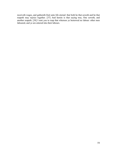receiveth wages, and gathereth fruit unto life eternal: that both he that soweth and he that reapeth may rejoice together. [37] And herein is that saying true, One soweth, and another reapeth. [38] I sent you to reap that whereon ye bestowed no labour: other men laboured, and ye are entered into their labours.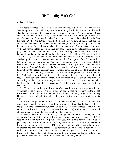# His Equality With God

#### John 5:17-47

 But Jesus answered them, My Father worketh hitherto, and I work. [18] Therefore the Jews sought the more to kill him, because he not only had broken the sabbath, but said also that God was his Father, making himself equal with God. [19] Then answered Jesus and said unto them, Verily, verily, I say unto you, The Son can do nothing of himself, but what he seeth the Father do: for what things soever he doeth, these also doeth the Son likewise. [20] For the Father loveth the Son, and sheweth him all things that himself doeth: and he will shew him greater works than these, that ye may marvel. [21] For as the Father raiseth up the dead, and quickeneth them; even so the Son quickeneth whom he will. [22] For the Father judgeth no man, but hath committed all judgment unto the Son: [23] That all men should honour the Son, even as they honour the Father. He that honoureth not the Son honoureth not the Father which hath sent him. [24] Verily, verily, I say unto you, He that heareth my word, and believeth on him that sent me, hath everlasting life, and shall not come into condemnation; but is passed from death unto life. [25] Verily, verily, I say unto you, The hour is coming, and now is, when the dead shall hear the voice of the Son of God: and they that hear shall live. [26] For as the Father hath life in himself; so hath he given to the Son to have life in himself; [27] And hath given him authority to execute judgment also, because he is the Son of man. [28] Marvel not at this: for the hour is coming, in the which all that are in the graves shall hear his voice, [29] And shall come forth; they that have done good, unto the resurrection of life; and they that have done evil, unto the resurrection of damnation. [30] I can of mine own self do nothing: as I hear, I judge: and my judgment is just; because I seek not mine own will, but the will of the Father which hath sent me. [31] If I bear witness of myself, my witness is not true.

 [32] There is another that beareth witness of me; and I know that the witness which he witnesseth of me is true. [33] Ye sent unto John, and he bare witness unto the truth. [34] But I receive not testimony from man: but these things I say, that ye might be saved. [35] He was a burning and a shining light: and ye were willing for a season to rejoice in his light.

 [36] But I have greater witness than that of John: for the works which the Father hath given me to finish, the same works that I do, bear witness of me, that the Father hath sent me. [37] And the Father himself, which hath sent me, hath borne witness of me. Ye have neither heard his voice at any time, nor seen his shape. [38] And ye have not his word abiding in you: for whom he hath sent, him ye believe not.

 [39] Search the scriptures; for in them ye think ye have eternal life: and they are they which testify of me. [40] And ye will not come to me, that ye might have life. [41] I receive not honour from men. [42] But I know you, that ye have not the love of God in you. [43] I am come in my Father's name, and ye receive me not: if another shall come in his own name, him ye will receive. [44] How can ye believe, which receive honour one of another, and seek not the honour that cometh from God only? [45] Do not think that I will accuse you to the Father: there is one that accuseth you, even Moses, in whom ye trust. [46] For had ye believed Moses, ye would have believed me: for he wrote of me. [47] But if ye believe not his writings, how shall ye believe my words?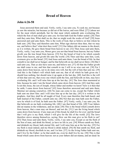# Bread of Heaven

### John 6:26-58

 Jesus answered them and said, Verily, verily, I say unto you, Ye seek me, not because ye saw the miracles, but because ye did eat of the loaves, and were filled. [27] Labour not for the meat which perisheth, but for that meat which endureth unto everlasting life, which the Son of man shall give unto you: for him hath God the Father sealed. [28] Then said they unto him, What shall we do, that we might work the works of God? [29] Jesus answered and said unto them, This is the work of God, that ye believe on him whom he hath sent. [30] They said therefore unto him, What sign shewest thou then, that we may see, and believe thee? what dost thou work? [31] Our fathers did eat manna in the desert; as it is written, He gave them bread from heaven to eat. [32] Then Jesus said unto them, Verily, verily, I say unto you, Moses gave you not that bread from heaven; but my Father giveth you the true bread from heaven. [33] For the bread of God is he which cometh down from heaven, and giveth life unto the world. [34] Then said they unto him, Lord, evermore give us this bread. [35] And Jesus said unto them, I am the bread of life: he that cometh to me shall never hunger; and he that believeth on me shall never thirst. [36] But I said unto you, That ye also have seen me, and believe not. [37] All that the Father giveth me shall come to me; and him that cometh to me I will in no wise cast out. [38] For I came down from heaven, not to do mine own will, but the will of him that sent me. [39] And this is the Father's will which hath sent me, that of all which he hath given me I should lose nothing, but should raise it up again at the last day. [40] And this is the will of him that sent me, that every one which seeth the Son, and believeth on him, may have everlasting life: and I will raise him up at the last day. [41] The Jews then murmured at him, because he said, I am the bread which came down from heaven. [42] And they said, Is not this Jesus, the son of Joseph, whose father and mother we know? how is it then that he saith, I came down from heaven? [43] Jesus therefore answered and said unto them, Murmur not among yourselves. [44] No man can come to me, except the Father which hath sent me draw him: and I will raise him up at the last day. [45] It is written in the prophets, And they shall be all taught of God. Every man therefore that hath heard, and hath learned of the Father, cometh unto me. [46] Not that any man hath seen the Father, save he which is of God, he hath seen the Father. [47] Verily, verily, I say unto you, He that believeth on me hath everlasting life. [48] I am that bread of life. [49] Your fathers did eat manna in the wilderness, and are dead. [50] This is the bread which cometh down from heaven, that a man may eat thereof, and not die. [51] I am the living bread which came down from heaven: if any man eat of this bread, he shall live for ever: and the bread that I will give is my flesh, which I will give for the life of the world. [52] The Jews therefore strove among themselves, saying, How can this man give us his flesh to eat? [53] Then Jesus said unto them, Verily, verily, I say unto you, Except ye eat the flesh of the Son of man, and drink his blood, ye have no life in you. [54] Whoso eateth my flesh, and drinketh my blood, hath eternal life; and I will raise him up at the last day. [55] For my flesh is meat indeed, and my blood is drink indeed. [56] He that eateth my flesh, and drinketh my blood, dwelleth in me, and I in him. [57] As the living Father hath sent me, and I live by the Father: so he that eateth me, even he shall live by me. [58] This is that bread which came down from heaven: not as your fathers did eat manna, and are dead: he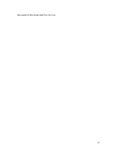that eateth of this bread shall live for ever.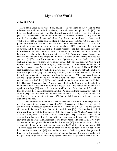### Light of the World

#### John 8:12-59

 Then spake Jesus again unto them, saying, I am the light of the world: he that followeth me shall not walk in darkness, but shall have the light of life. [13] The Pharisees therefore said unto him, Thou bearest record of thyself; thy record is not true. [14] Jesus answered and said unto them, Though I bear record of myself, yet my record is true: for I know whence I came, and whither I go; but ye cannot tell whence I come, and whither I go. [15] Ye judge after the flesh; I judge no man. [16] And yet if I judge, my judgment is true: for I am not alone, but I and the Father that sent me. [17] It is also written in your law, that the testimony of two men is true. [18] I am one that bear witness of myself, and the Father that sent me beareth witness of me. [19] Then said they unto him, Where is thy Father? Jesus answered, Ye neither know me, nor my Father: if ye had known me, ye should have known my Father also. [20] These words spake Jesus in the treasury, as he taught in the temple: and no man laid hands on him; for his hour was not yet come. [21] Then said Jesus again unto them, I go my way, and ye shall seek me, and shall die in your sins: whither I go, ye cannot come. [22] Then said the Jews, Will he kill himself? because he saith, Whither I go, ye cannot come. [23] And he said unto them, Ye are from beneath; I am from above: ye are of this world; I am not of this world. [24] I said therefore unto you, that ye shall die in your sins: for if ye believe not that I am he, ye shall die in your sins. [25] Then said they unto him, Who art thou? And Jesus saith unto them, Even the same that I said unto you from the beginning. [26] I have many things to say and to judge of you: but he that sent me is true; and I speak to the world those things which I have heard of him. [27] They understood not that he spake to them of the Father. [28] Then said Jesus unto them, When ye have lifted up the Son of man, then shall ye know that I am he, and that I do nothing of myself; but as my Father hath taught me, I speak these things. [29] And he that sent me is with me: the Father hath not left me alone; for I do always those things that please him. [30] As he spake these words, many believed on him. [31] Then said Jesus to those Jews which believed on him, If ye continue in my word, then are ye my disciples indeed; [32] And ye shall know the truth, and the truth shall make you free.

 [33] They answered him, We be Abraham's seed, and were never in bondage to any man: how sayest thou, Ye shall be made free? [34] Jesus answered them, Verily, verily, I say unto you, Whosoever committeth sin is the servant of sin. [35] And the servant abideth not in the house for ever: but the Son abideth ever. [36] If the Son therefore shall make you free, ye shall be free indeed. [37] I know that ye are Abraham's seed; but ye seek to kill me, because my word hath no place in you. [38] I speak that which I have seen with my Father: and ye do that which ye have seen with your father. [39] They answered and said unto him, Abraham is our father. Jesus saith unto them, If ye were Abraham's children, ye would do the works of Abraham. [40] But now ye seek to kill me, a man that hath told you the truth, which I have heard of God: this did not Abraham. [41] Ye do the deeds of your father. Then said they to him, We be not born of fornication; we have one Father, even God. [42] Jesus said unto them, If God were your Father, ye would love me: for I proceeded forth and came from God; neither came I of myself, but he sent me. [43] Why do ye not understand my speech? even because ye cannot hear my word.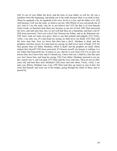[44] Ye are of your father the devil, and the lusts of your father ye will do. He was a murderer from the beginning, and abode not in the truth, because there is no truth in him. When he speaketh a lie, he speaketh of his own: for he is a liar, and the father of it. [45] And because I tell you the truth, ye believe me not. [46] Which of you convinceth me of sin? And if I say the truth, why do ye not believe me? [47] He that is of God heareth God's words: ye therefore hear them not, because ye are not of God. [48] Then answered the Jews, and said unto him, Say we not well that thou art a Samaritan, and hast a devil? [49] Jesus answered, I have not a devil; but I honour my Father, and ye do dishonour me. [50] And I seek not mine own glory: there is one that seeketh and judgeth. [51] Verily, verily, I say unto you, If a man keep my saying, he shall never see death. [52] Then said the Jews unto him, Now we know that thou hast a devil. Abraham is dead, and the prophets; and thou sayest, If a man keep my saying, he shall never taste of death. [53] Art thou greater than our father Abraham, which is dead? and the prophets are dead: whom makest thou thyself? [54] Jesus answered, If I honour myself, my honour is nothing: it is my Father that honoureth me; of whom ye say, that he is your God: [55] Yet ye have not known him; but I know him: and if I should say, I know him not, I shall be a liar like unto you: but I know him, and keep his saying. [56] Your father Abraham rejoiced to see my day: and he saw it, and was glad. [57] Then said the Jews unto him, Thou art not yet fifty years old, and hast thou seen Abraham? [58] Jesus said unto them, Verily, verily, I say unto you, Before Abraham was, I am. [59] Then took they up stones to cast at him: but Jesus hid himself, and went out of the temple, going through the midst of them, and so passed by.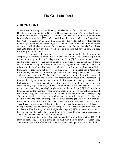## The Good Shepherd

### John 9:35-10:21

 Jesus heard that they had cast him out; and when he had found him, he said unto him, Dost thou believe on the Son of God? [36] He answered and said, Who is he, Lord, that I might believe on him? [37] And Jesus said unto him, Thou hast both seen him, and it is he that talketh with thee. [38] And he said, Lord, I believe. And he worshipped him. [39] And Jesus said, For judgment I am come into this world, that they which see not might see; and that they which see might be made blind. [40] And some of the Pharisees which were with him heard these words, and said unto him, Are we blind also? [41] Jesus said unto them, If ye were blind, ye should have no sin: but now ye say, We see; therefore your sin remaineth.

[10:1] Verily, verily, I say unto you, He that entereth not by the door into the sheepfold, but climbeth up some other way, the same is a thief and a robber. [2] But he that entereth in by the door is the shepherd of the sheep. [3] To him the porter openeth; and the sheep hear his voice: and he calleth his own sheep by name, and leadeth them out. [4] And when he putteth forth his own sheep, he goeth before them, and the sheep follow him: for they know his voice. [5] And a stranger will they not follow, but will flee from him: for they know not the voice of strangers. [6] This parable spake Jesus unto them: but they understood not what things they were which he spake unto them. [7] Then said Jesus unto them again, Verily, verily, I say unto you, I am the door of the sheep. [8] All that ever came before me are thieves and robbers: but the sheep did not hear them. [9] I am the door: by me if any man enter in, he shall be saved, and shall go in and out, and find pasture. [10] The thief cometh not, but for to steal, and to kill, and to destroy: I am come that they might have life, and that they might have it more abundantly. [11] I am the good shepherd: the good shepherd giveth his life for the sheep. [12] But he that is an hireling, and not the shepherd, whose own the sheep are not, seeth the wolf coming, and leaveth the sheep, and fleeth: and the wolf catcheth them, and scattereth the sheep. [13] The hireling fleeth, because he is an hireling, and careth not for the sheep. [14] I am the good shepherd, and know my sheep, and am known of mine. [15] As the Father knoweth me, even so know I the Father: and I lay down my life for the sheep. [16] And other sheep I have, which are not of this fold: them also I must bring, and they shall hear my voice; and there shall be one fold, and one shepherd. [17] Therefore doth my Father love me, because I lay down my life, that I might take it again. [18] No man taketh it from me, but I lay it down of myself. I have power to lay it down, and I have power to take it again. This commandment have I received of my Father.

 [19] There was a division therefore again among the Jews for these sayings. [20] And many of them said, He hath a devil, and is mad; why hear ye him? [21] Others said, These are not the words of him that hath a devil. Can a devil open the eyes of the blind?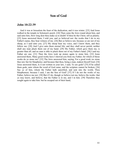# Son of God

#### John 10:22-39

 And it was at Jerusalem the feast of the dedication, and it was winter. [23] And Jesus walked in the temple in Solomon's porch. [24] Then came the Jews round about him, and said unto him, How long dost thou make us to doubt? If thou be the Christ, tell us plainly. [25] Jesus answered them, I told you, and ye believed not: the works that I do in my Father's name, they bear witness of me. [26] But ye believe not, because ye are not of my sheep, as I said unto you. [27] My sheep hear my voice, and I know them, and they follow me: [28] And I give unto them eternal life; and they shall never perish, neither shall any man pluck them out of my hand. [29] My Father, which gave them me, is greater than all; and no man is able to pluck them out of my Father's hand. [30] I and my Father are one. [31] Then the Jews took up stones again to stone him. [32] Jesus answered them, Many good works have I shewed you from my Father; for which of those works do ye stone me? [33] The Jews answered him, saying, For a good work we stone thee not; but for blasphemy; and because that thou, being a man, makest thyself God. [34] Jesus answered them, Is it not written in your law, I said, Ye are gods? [35] If he called them gods, unto whom the word of God came, and the scripture cannot be broken; [36] Say ye of him, whom the Father hath sanctified, and sent into the world, Thou blasphemest; because I said, I am the Son of God? [37] If I do not the works of my Father, believe me not. [38] But if I do, though ye believe not me, believe the works: that ye may know, and believe, that the Father is in me, and I in him. [39] Therefore they sought again to take him: but he escaped out of their hand,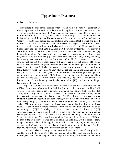# Upper Room Discourse

### John 13:1-17:26

 Now before the feast of the Passover, when Jesus knew that his hour was come that he should depart out of this world unto the Father, having loved his own which were in the world, he loved them unto the end. [2] And supper being ended, the devil having now put into the heart of Judas Iscariot, Simon's son, to betray him; [3] Jesus knowing that the Father had given all things into his hands, and that he was come from God, and went to God; [4] He riseth from supper, and laid aside his garments; and took a towel, and girded himself. [5] After that he poureth water into a bason, and began to wash the disciples' feet, and to wipe them with the towel wherewith he was girded. [6] Then cometh he to Simon Peter: and Peter saith unto him, Lord, dost thou wash my feet? [7] Jesus answered and said unto him, What I do thou knowest not now; but thou shalt know hereafter. [8] Peter saith unto him, Thou shalt never wash my feet. Jesus answered him, If I wash thee not, thou hast no part with me. [9] Simon Peter saith unto him, Lord, not my feet only, but also my hands and my head. [10] Jesus saith to him, He that is washed needeth not save to wash his feet, but is clean every whit: and ye are clean, but not all. [11] For he knew who should betray him; therefore said he, Ye are not all clean. [12] So after he had washed their feet, and had taken his garments, and was set down again, he said unto them, Know ye what I have done to you? [13] Ye call me Master and Lord: and ye say well; for so I am. [14] If I then, your Lord and Master, have washed your feet; ye also ought to wash one another's feet. [15] For I have given you an example, that ye should do as I have done to you. [16] Verily, verily, I say unto you, The servant is not greater than his lord; neither he that is sent greater than he that sent him. [17] If ye know these things, happy are ye if ye do them.

[18] I speak not of you all: I know whom I have chosen: but that the scripture may be fulfilled, He that eateth bread with me hath lifted up his heel against me. [19] Now I tell you before it come, that, when it is come to pass, ye may believe that I am he. [20] Verily, verily, I say unto you, He that receiveth whomsoever I send receiveth me; and he that receiveth me receiveth him that sent me. [21] When Jesus had thus said, he was troubled in spirit, and testified, and said, Verily, verily, I say unto you, that one of you shall betray me. [22] Then the disciples looked one on another, doubting of whom he spake. [23] Now there was leaning on Jesus' bosom one of his disciples, whom Jesus loved. [24] Simon Peter therefore beckoned to him, that he should ask who it should be of whom he spake. [25] He then lying on Jesus' breast saith unto him, Lord, who is it? [26] Jesus answered, He it is, to whom I shall give a sop, when I have dipped it. And when he had dipped the sop, he gave it to Judas Iscariot, the son of Simon. [27] And after the sop Satan entered into him. Then said Jesus unto him, That thou doest, do quickly. [28] Now no man at the table knew for what intent he spake this unto him. [29] For some of them thought, because Judas had the bag, that Jesus had said unto him, Buy those things that we have need of against the feast; or, that he should give something to the poor. [30] He then having received the sop went immediately out: and it was night.

[31] Therefore, when he was gone out, Jesus said, Now is the Son of man glorified, and God is glorified in him. [32] If God be glorified in him, God shall also glorify him in himself, and shall straightway glorify him. [33] Little children, yet a little while I am with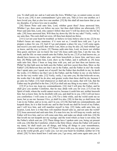you. Ye shall seek me: and as I said unto the Jews, Whither I go, ye cannot come; so now I say to you. [34] A new commandment I give unto you, That ye love one another; as I have loved you, that ye also love one another. [35] By this shall all men know that ye are my disciples, if ye have love one to another.

[36] Simon Peter said unto him, Lord, whither goest thou? Jesus answered him, Whither I go, thou canst not follow me now; but thou shalt follow me afterwards. [37] Peter said unto him, Lord, why cannot I follow thee now? I will lay down my life for thy sake. [38] Jesus answered him, Wilt thou lay down thy life for my sake? Verily, verily, I say unto thee, The cock shall not crow, till thou hast denied me thrice.

 [14:1] Let not your heart be troubled: ye believe in God, believe also in me. [2] In my Father's house are many mansions: if it were not so, I would have told you. I go to prepare a place for you. [3] And if I go and prepare a place for you, I will come again, and receive you unto myself; that where I am, there ye may be also. [4] And whither I go ye know, and the way ye know. [5] Thomas saith unto him, Lord, we know not whither thou goest; and how can we know the way? [6] Jesus saith unto him, I am the way, the truth, and the life: no man cometh unto the Father, but by me. [7] If ye had known me, ye should have known my Father also: and from henceforth ye know him, and have seen him. [8] Philip saith unto him, Lord, shew us the Father, and it sufficeth us. [9] Jesus saith unto him, Have I been so long time with you, and yet hast thou not known me, Philip? he that hath seen me hath seen the Father; and how sayest thou then, Shew us the Father? [10] Believest thou not that I am in the Father, and the Father in me? the words that I speak unto you I speak not of myself: but the Father that dwelleth in me, he doeth the works. [11] Believe me that I am in the Father, and the Father in me: or else believe me for the very works' sake. [12] Verily, verily, I say unto you, He that believeth on me, the works that I do shall he do also; and greater works than these shall he do; because I go unto my Father. [13] And whatsoever ye shall ask in my name, that will I do, that the Father may be glorified in the Son. [14] If ye shall ask any thing in my name, I will do it.

[15] If ye love me, keep my commandments. [16] And I will pray the Father, and he shall give you another Comforter, that he may abide with you for ever; [17] Even the Spirit of truth; whom the world cannot receive, because it seeth him not, neither knoweth him: but ye know him; for he dwelleth with you, and shall be in you. [18] I will not leave you comfortless: I will come to you. [19] Yet a little while, and the world seeth me no more; but ye see me: because I live, ye shall live also. [20] At that day ye shall know that I am in my Father, and ye in me, and I in you. [21] He that hath my commandments, and keepeth them, he it is that loveth me: and he that loveth me shall be loved of my Father, and I will love him, and will manifest myself to him. [22] Judas saith unto him, not Iscariot, Lord, how is it that thou wilt manifest thyself unto us, and not unto the world? [23] Jesus answered and said unto him, If a man love me, he will keep my words: and my Father will love him, and we will come unto him, and make our abode with him. [24] He that loveth me not keepeth not my sayings: and the word which ye hear is not mine, but the Father's which sent me. [25] These things have I spoken unto you, being yet present with you. [26] But the Comforter, which is the Holy Ghost, whom the Father will send in my name, he shall teach you all things, and bring all things to your remembrance, whatsoever I have said unto you. [27] Peace I leave with you, my peace I give unto you: not as the world giveth, give I unto you. Let not your heart be troubled, neither let it be afraid. [28] Ye have heard how I said unto you, I go away, and come again unto you. If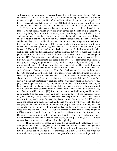ye loved me, ye would rejoice, because I said, I go unto the Father: for my Father is greater than I. [29] And now I have told you before it come to pass, that, when it is come to pass, ye might believe. [30] Hereafter I will not talk much with you: for the prince of this world cometh, and hath nothing in me. [31] But that the world may know that I love the Father; and as the Father gave me commandment, even so I do. Arise, let us go hence.

 [15:1] I am the true vine, and my Father is the husbandman. [2] Every branch in me that beareth not fruit he taketh away: and every branch that beareth fruit, he purgeth it, that it may bring forth more fruit. [3] Now ye are clean through the word which I have spoken unto you. [4] Abide in me, and I in you. As the branch cannot bear fruit of itself, except it abide in the vine; no more can ye, except ye abide in me. [5] I am the vine, ye are the branches: He that abideth in me, and I in him, the same bringeth forth much fruit: for without me ye can do nothing. [6] If a man abide not in me, he is cast forth as a branch, and is withered; and men gather them, and cast them into the fire, and they are burned. [7] If ye abide in me, and my words abide in you, ye shall ask what ye will, and it shall be done unto you. [8] Herein is my Father glorified, that ye bear much fruit; so shall ye be my disciples. [9] As the Father hath loved me, so have I loved you: continue ye in my love. [10] If ye keep my commandments, ye shall abide in my love; even as I have kept my Father's commandments, and abide in his love. [11] These things have I spoken unto you, that my joy might remain in you, and that your joy might be full. [12] This is my commandment, That ye love one another, as I have loved you. [13] Greater love hath no man than this, that a man lay down his life for his friends. [14] Ye are my friends, if ye do whatsoever I command you. [15] Henceforth I call you not servants; for the servant knoweth not what his lord doeth: but I have called you friends; for all things that I have heard of my Father I have made known unto you. [16] Ye have not chosen me, but I have chosen you, and ordained you, that ye should go and bring forth fruit, and that your fruit should remain: that whatsoever ye shall ask of the Father in my name, he may give it you. [17] These things I command you, that ye love one another. [18] If the world hate you, ye know that it hated me before it hated you. [19] If ye were of the world, the world would love his own: but because ye are not of the world, but I have chosen you out of the world, therefore the world hateth you. [20] Remember the word that I said unto you, The servant is not greater than his lord. If they have persecuted me, they will also persecute you; if they have kept my saying, they will keep yours also. [21] But all these things will they do unto you for my name's sake, because they know not him that sent me. [22] If I had not come and spoken unto them, they had not had sin: but now they have no cloke for their sin. [23] He that hateth me hateth my Father also. [24] If I had not done among them the works which none other man did, they had not had sin: but now have they both seen and hated both me and my Father. [25] But this cometh to pass, that the word might be fulfilled that is written in their law, They hated me without a cause. [26] But when the Comforter is come, whom I will send unto you from the Father, even the Spirit of truth, which proceedeth from the Father, he shall testify of me: [27] And ye also shall bear witness, because ye have been with me from the beginning.

[16:1] These things have I spoken unto you, that ye should not be offended. [2] They shall put you out of the synagogues: yea, the time cometh, that whosoever killeth you will think that he doeth God service. [3] And these things will they do unto you, because they have not known the Father, nor me. [4] But these things have I told you, that when the time shall come, ye may remember that I told you of them. And these things I said not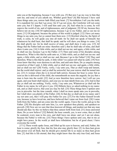unto you at the beginning, because I was with you. [5] But now I go my way to him that sent me; and none of you asketh me, Whither goest thou? [6] But because I have said these things unto you, sorrow hath filled your heart. [7] Nevertheless I tell you the truth; It is expedient for you that I go away: for if I go not away, the Comforter will not come unto you; but if I depart, I will send him unto you. [8] And when he is come, he will reprove the world of sin, and of righteousness, and of judgment: [9] Of sin, because they believe not on me; [10] Of righteousness, because I go to my Father, and ye see me no more; [11] Of judgment, because the prince of this world is judged. [12] I have yet many things to say unto you, but ye cannot bear them now. [13] Howbeit when he, the Spirit of truth, is come, he will guide you into all truth: for he shall not speak of himself; but whatsoever he shall hear, that shall he speak: and he will shew you things to come. [14] He shall glorify me: for he shall receive of mine, and shall shew it unto you. [15] All things that the Father hath are mine: therefore said I, that he shall take of mine, and shall shew it unto you. [16] A little while, and ye shall not see me: and again, a little while, and ye shall see me, because I go to the Father. [17] Then said some of his disciples among themselves, What is this that he saith unto us, A little while, and ye shall not see me: and again, a little while, and ye shall see me: and, Because I go to the Father? [18] They said therefore, What is this that he saith, A little while? we cannot tell what he saith. [19] Now Jesus knew that they were desirous to ask him, and said unto them, Do ye enquire among yourselves of that I said, A little while, and ye shall not see me: and again, a little while, and ye shall see me? [20] Verily, verily, I say unto you, That ye shall weep and lament, but the world shall rejoice: and ye shall be sorrowful, but your sorrow shall be turned into joy. [21] A woman when she is in travail hath sorrow, because her hour is come: but as soon as she is delivered of the child, she remembereth no more the anguish, for joy that a man is born into the world. [22] And ye now therefore have sorrow: but I will see you again, and your heart shall rejoice, and your joy no man taketh from you. [23] And in that day ye shall ask me nothing. Verily, verily, I say unto you, Whatsoever ye shall ask the Father in my name, he will give it you. [24] Hitherto have ye asked nothing in my name: ask, and ye shall receive, that your joy may be full. [25] These things have I spoken unto you in proverbs: but the time cometh, when I shall no more speak unto you in proverbs, but I shall shew you plainly of the Father. [26] At that day ye shall ask in my name: and I say not unto you, that I will pray the Father for you: [27] For the Father himself loveth you, because ye have loved me, and have believed that I came out from God. [28] I came forth from the Father, and am come into the world: again, I leave the world, and go to the Father. [29] His disciples said unto him, Lo, now speakest thou plainly, and speakest no proverb. [30] Now are we sure that thou knowest all things, and needest not that any man should ask thee: by this we believe that thou camest forth from God. [31] Jesus answered them, Do ye now believe? [32] Behold, the hour cometh, yea, is now come, that ye shall be scattered, every man to his own, and shall leave me alone: and yet I am not alone, because the Father is with me. [33] These things I have spoken unto you, that in me ye might have peace. In the world ye shall have tribulation: but be of good cheer; I have overcome the world.

[17:1] These words spake Jesus, and lifted up his eyes to heaven, and said, Father, the hour is come; glorify thy Son, that thy Son also may glorify thee: [2] As thou hast given him power over all flesh, that he should give eternal life to as many as thou hast given him. [3] And this is life eternal, that they might know thee the only true God, and Jesus